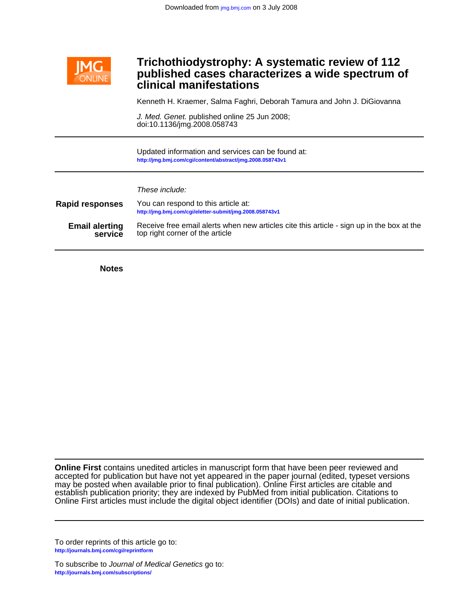

# **clinical manifestations published cases characterizes a wide spectrum of Trichothiodystrophy: A systematic review of 112**

Kenneth H. Kraemer, Salma Faghri, Deborah Tamura and John J. DiGiovanna

doi:10.1136/jmg.2008.058743 J. Med. Genet. published online 25 Jun 2008;

**<http://jmg.bmj.com/cgi/content/abstract/jmg.2008.058743v1>** Updated information and services can be found at:

These include:

| <b>Rapid responses</b> | You can respond to this article at:<br>http://jmg.bmj.com/cgi/eletter-submit/jmg.2008.058743v1 |
|------------------------|------------------------------------------------------------------------------------------------|
| <b>Email alerting</b>  | Receive free email alerts when new articles cite this article - sign up in the box at the      |
| service                | top right corner of the article                                                                |

**Notes**

Online First articles must include the digital object identifier (DOIs) and date of initial publication. establish publication priority; they are indexed by PubMed from initial publication. Citations to may be posted when available prior to final publication). Online First articles are citable and accepted for publication but have not yet appeared in the paper journal (edited, typeset versions **Online First** contains unedited articles in manuscript form that have been peer reviewed and

**<http://journals.bmj.com/cgi/reprintform>** To order reprints of this article go to:

**<http://journals.bmj.com/subscriptions/>** To subscribe to Journal of Medical Genetics go to: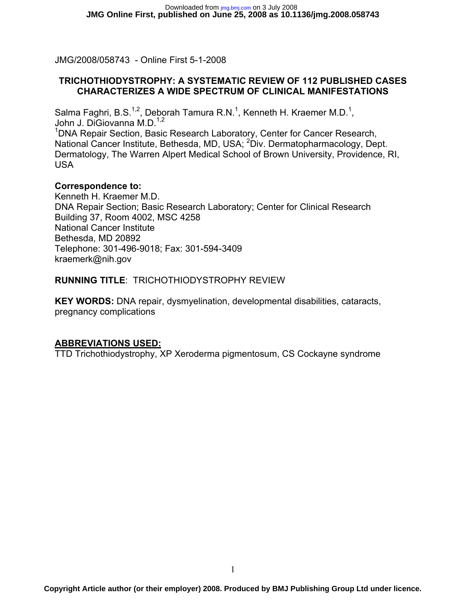JMG/2008/058743 - Online First 5-1-2008

#### **TRICHOTHIODYSTROPHY: A SYSTEMATIC REVIEW OF 112 PUBLISHED CASES CHARACTERIZES A WIDE SPECTRUM OF CLINICAL MANIFESTATIONS**

Salma Faghri, B.S.<sup>1,2</sup>, Deborah Tamura R.N.<sup>1</sup>, Kenneth H. Kraemer M.D.<sup>1</sup>, John J. DiGiovanna M.D.<sup>1,2</sup>

<sup>1</sup>DNA Repair Section, Basic Research Laboratory, Center for Cancer Research, National Cancer Institute, Bethesda, MD, USA; <sup>2</sup>Div. Dermatopharmacology, Dept. Dermatology, The Warren Alpert Medical School of Brown University, Providence, RI, USA

#### **Correspondence to:**

Kenneth H. Kraemer M.D. DNA Repair Section; Basic Research Laboratory; Center for Clinical Research Building 37, Room 4002, MSC 4258 National Cancer Institute Bethesda, MD 20892 Telephone: 301-496-9018; Fax: 301-594-3409 kraemerk@nih.gov

#### **RUNNING TITLE**: TRICHOTHIODYSTROPHY REVIEW

**KEY WORDS:** DNA repair, dysmyelination, developmental disabilities, cataracts, pregnancy complications

#### **ABBREVIATIONS USED:**

TTD Trichothiodystrophy, XP Xeroderma pigmentosum, CS Cockayne syndrome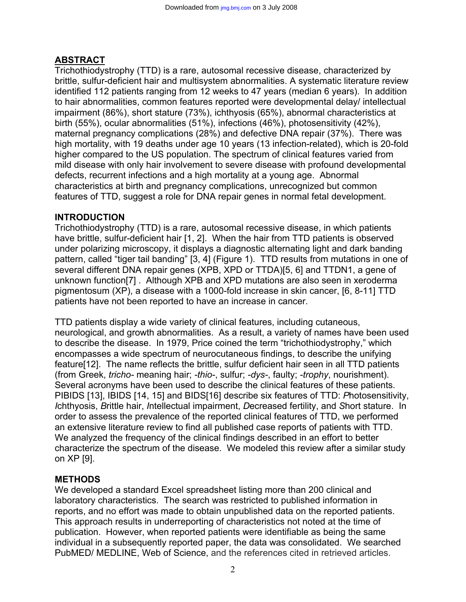# **ABSTRACT**

Trichothiodystrophy (TTD) is a rare, autosomal recessive disease, characterized by brittle, sulfur-deficient hair and multisystem abnormalities. A systematic literature review identified 112 patients ranging from 12 weeks to 47 years (median 6 years). In addition to hair abnormalities, common features reported were developmental delay/ intellectual impairment (86%), short stature (73%), ichthyosis (65%), abnormal characteristics at birth (55%), ocular abnormalities (51%), infections (46%), photosensitivity (42%), maternal pregnancy complications (28%) and defective DNA repair (37%). There was high mortality, with 19 deaths under age 10 years (13 infection-related), which is 20-fold higher compared to the US population. The spectrum of clinical features varied from mild disease with only hair involvement to severe disease with profound developmental defects, recurrent infections and a high mortality at a young age. Abnormal characteristics at birth and pregnancy complications, unrecognized but common features of TTD, suggest a role for DNA repair genes in normal fetal development.

## **INTRODUCTION**

Trichothiodystrophy (TTD) is a rare, autosomal recessive disease, in which patients have brittle, sulfur-deficient hair [1, 2]. When the hair from TTD patients is observed under polarizing microscopy, it displays a diagnostic alternating light and dark banding pattern, called "tiger tail banding" [3, 4] (Figure 1). TTD results from mutations in one of several different DNA repair genes (XPB, XPD or TTDA)[5, 6] and TTDN1, a gene of unknown function[7] . Although XPB and XPD mutations are also seen in xeroderma pigmentosum (XP), a disease with a 1000-fold increase in skin cancer, [6, 8-11] TTD patients have not been reported to have an increase in cancer.

TTD patients display a wide variety of clinical features, including cutaneous, neurological, and growth abnormalities. As a result, a variety of names have been used to describe the disease. In 1979, Price coined the term "trichothiodystrophy," which encompasses a wide spectrum of neurocutaneous findings, to describe the unifying feature[12]. The name reflects the brittle, sulfur deficient hair seen in all TTD patients (from Greek, *tricho-* meaning hair; *-thio-*, sulfur; *-dys-*, faulty; *-trophy*, nourishment). Several acronyms have been used to describe the clinical features of these patients. PIBIDS [13], IBIDS [14, 15] and BIDS[16] describe six features of TTD: *P*hotosensitivity, *I*chthyosis, *B*rittle hair, *I*ntellectual impairment, *D*ecreased fertility, and *S*hort stature. In order to assess the prevalence of the reported clinical features of TTD, we performed an extensive literature review to find all published case reports of patients with TTD. We analyzed the frequency of the clinical findings described in an effort to better characterize the spectrum of the disease. We modeled this review after a similar study on XP [9].

## **METHODS**

We developed a standard Excel spreadsheet listing more than 200 clinical and laboratory characteristics. The search was restricted to published information in reports, and no effort was made to obtain unpublished data on the reported patients. This approach results in underreporting of characteristics not noted at the time of publication. However, when reported patients were identifiable as being the same individual in a subsequently reported paper, the data was consolidated. We searched PubMED/ MEDLINE, Web of Science, and the references cited in retrieved articles.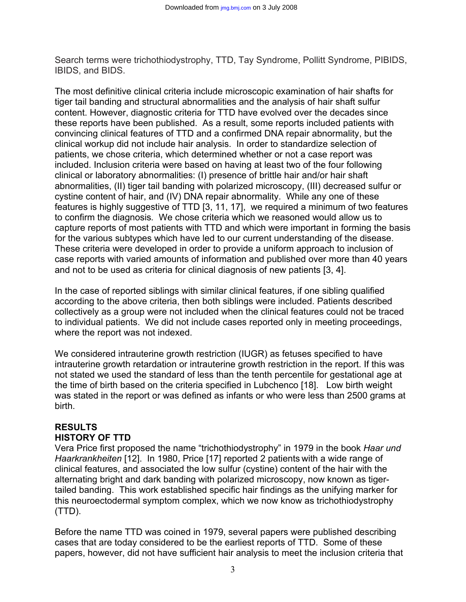Search terms were trichothiodystrophy, TTD, Tay Syndrome, Pollitt Syndrome, PIBIDS, IBIDS, and BIDS.

The most definitive clinical criteria include microscopic examination of hair shafts for tiger tail banding and structural abnormalities and the analysis of hair shaft sulfur content. However, diagnostic criteria for TTD have evolved over the decades since these reports have been published. As a result, some reports included patients with convincing clinical features of TTD and a confirmed DNA repair abnormality, but the clinical workup did not include hair analysis. In order to standardize selection of patients, we chose criteria, which determined whether or not a case report was included. Inclusion criteria were based on having at least two of the four following clinical or laboratory abnormalities: (I) presence of brittle hair and/or hair shaft abnormalities, (II) tiger tail banding with polarized microscopy, (III) decreased sulfur or cystine content of hair, and (IV) DNA repair abnormality. While any one of these features is highly suggestive of TTD [3, 11, 17], we required a minimum of two features to confirm the diagnosis*.* We chose criteria which we reasoned would allow us to capture reports of most patients with TTD and which were important in forming the basis for the various subtypes which have led to our current understanding of the disease. These criteria were developed in order to provide a uniform approach to inclusion of case reports with varied amounts of information and published over more than 40 years and not to be used as criteria for clinical diagnosis of new patients [3, 4].

In the case of reported siblings with similar clinical features, if one sibling qualified according to the above criteria, then both siblings were included. Patients described collectively as a group were not included when the clinical features could not be traced to individual patients. We did not include cases reported only in meeting proceedings, where the report was not indexed.

We considered intrauterine growth restriction (IUGR) as fetuses specified to have intrauterine growth retardation or intrauterine growth restriction in the report. If this was not stated we used the standard of less than the tenth percentile for gestational age at the time of birth based on the criteria specified in Lubchenco [18]. Low birth weight was stated in the report or was defined as infants or who were less than 2500 grams at birth.

# **RESULTS HISTORY OF TTD**

Vera Price first proposed the name "trichothiodystrophy" in 1979 in the book *Haar und Haarkrankheiten* [12]. In 1980, Price [17] reported 2 patients with a wide range of clinical features, and associated the low sulfur (cystine) content of the hair with the alternating bright and dark banding with polarized microscopy, now known as tigertailed banding. This work established specific hair findings as the unifying marker for this neuroectodermal symptom complex, which we now know as trichothiodystrophy (TTD).

Before the name TTD was coined in 1979, several papers were published describing cases that are today considered to be the earliest reports of TTD. Some of these papers, however, did not have sufficient hair analysis to meet the inclusion criteria that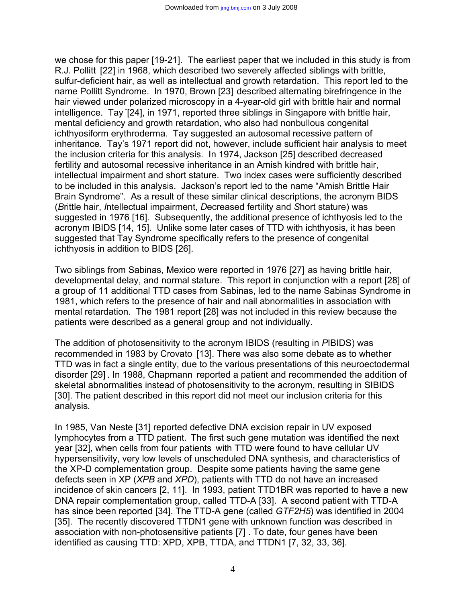we chose for this paper [19-21]. The earliest paper that we included in this study is from R.J. Pollitt [22] in 1968, which described two severely affected siblings with brittle, sulfur-deficient hair, as well as intellectual and growth retardation. This report led to the name Pollitt Syndrome. In 1970, Brown [23] described alternating birefringence in the hair viewed under polarized microscopy in a 4-year-old girl with brittle hair and normal intelligence. Tay [24], in 1971, reported three siblings in Singapore with brittle hair, mental deficiency and growth retardation, who also had nonbullous congenital ichthyosiform erythroderma. Tay suggested an autosomal recessive pattern of inheritance. Tay's 1971 report did not, however, include sufficient hair analysis to meet the inclusion criteria for this analysis. In 1974, Jackson [25] described decreased fertility and autosomal recessive inheritance in an Amish kindred with brittle hair, intellectual impairment and short stature. Two index cases were sufficiently described to be included in this analysis. Jackson's report led to the name "Amish Brittle Hair Brain Syndrome". As a result of these similar clinical descriptions, the acronym BIDS (*B*rittle hair, *I*ntellectual impairment, *D*ecreased fertility and *S*hort stature) was suggested in 1976 [16]. Subsequently, the additional presence of ichthyosis led to the acronym IBIDS [14, 15]. Unlike some later cases of TTD with ichthyosis, it has been suggested that Tay Syndrome specifically refers to the presence of congenital ichthyosis in addition to BIDS [26].

Two siblings from Sabinas, Mexico were reported in 1976 [27] as having brittle hair, developmental delay, and normal stature. This report in conjunction with a report [28] of a group of 11 additional TTD cases from Sabinas, led to the name Sabinas Syndrome in 1981, which refers to the presence of hair and nail abnormalities in association with mental retardation. The 1981 report [28] was not included in this review because the patients were described as a general group and not individually.

The addition of photosensitivity to the acronym IBIDS (resulting in *P*IBIDS) was recommended in 1983 by Crovato [13]. There was also some debate as to whether TTD was in fact a single entity, due to the various presentations of this neuroectodermal disorder [29] . In 1988, Chapmann reported a patient and recommended the addition of skeletal abnormalities instead of photosensitivity to the acronym, resulting in SIBIDS [30]. The patient described in this report did not meet our inclusion criteria for this analysis*.*

In 1985, Van Neste [31] reported defective DNA excision repair in UV exposed lymphocytes from a TTD patient. The first such gene mutation was identified the next year [32], when cells from four patients with TTD were found to have cellular UV hypersensitivity, very low levels of unscheduled DNA synthesis, and characteristics of the XP-D complementation group. Despite some patients having the same gene defects seen in XP (*XPB* and *XPD*), patients with TTD do not have an increased incidence of skin cancers [2, 11]. In 1993, patient TTD1BR was reported to have a new DNA repair complementation group, called TTD-A [33]. A second patient with TTD-A has since been reported [34]. The TTD-A gene (called *GTF2H5*) was identified in 2004 [35]. The recently discovered TTDN1 gene with unknown function was described in association with non-photosensitive patients [7] . To date, four genes have been identified as causing TTD: XPD, XPB, TTDA, and TTDN1 [7, 32, 33, 36].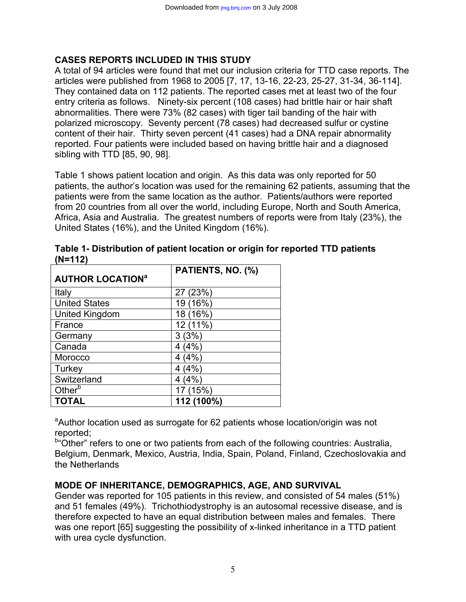## **CASES REPORTS INCLUDED IN THIS STUDY**

A total of 94 articles were found that met our inclusion criteria for TTD case reports. The articles were published from 1968 to 2005 [7, 17, 13-16, 22-23, 25-27, 31-34, 36-114]. They contained data on 112 patients. The reported cases met at least two of the four entry criteria as follows. Ninety-six percent (108 cases) had brittle hair or hair shaft abnormalities. There were 73% (82 cases) with tiger tail banding of the hair with polarized microscopy. Seventy percent (78 cases) had decreased sulfur or cystine content of their hair. Thirty seven percent (41 cases) had a DNA repair abnormality reported. Four patients were included based on having brittle hair and a diagnosed sibling with TTD [85, 90, 98].

Table 1 shows patient location and origin. As this data was only reported for 50 patients, the author's location was used for the remaining 62 patients, assuming that the patients were from the same location as the author. Patients/authors were reported from 20 countries from all over the world, including Europe, North and South America, Africa, Asia and Australia. The greatest numbers of reports were from Italy (23%), the United States (16%), and the United Kingdom (16%).

|                                    | PATIENTS, NO. (%) |
|------------------------------------|-------------------|
| <b>AUTHOR LOCATION<sup>a</sup></b> |                   |
| Italy                              | 27 (23%)          |
| <b>United States</b>               | 19 (16%)          |
| <b>United Kingdom</b>              | 18 (16%)          |
| France                             | 12 (11%)          |
| Germany                            | 3(3%)             |
| Canada                             | 4(4%)             |
| Morocco                            | 4(4%              |
| <b>Turkey</b>                      | 4(4%              |
| Switzerland                        | 4 (4%)            |
| Other <sup>b</sup>                 | 17 (15%)          |
| <b>TOTAL</b>                       | 112 (100%)        |

**Table 1- Distribution of patient location or origin for reported TTD patients (N=112)** 

<sup>a</sup>Author location used as surrogate for 62 patients whose location/origin was not reported;

<sup>b</sup> Other" refers to one or two patients from each of the following countries: Australia, Belgium, Denmark, Mexico, Austria, India, Spain, Poland, Finland, Czechoslovakia and the Netherlands

## **MODE OF INHERITANCE, DEMOGRAPHICS, AGE, AND SURVIVAL**

Gender was reported for 105 patients in this review, and consisted of 54 males (51%) and 51 females (49%). Trichothiodystrophy is an autosomal recessive disease, and is therefore expected to have an equal distribution between males and females. There was one report [65] suggesting the possibility of x-linked inheritance in a TTD patient with urea cycle dysfunction.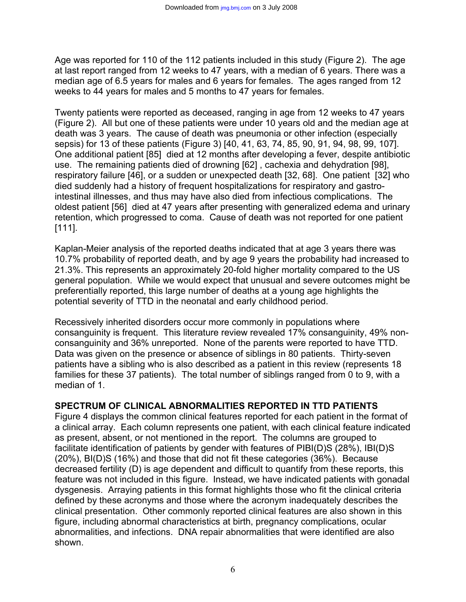Age was reported for 110 of the 112 patients included in this study (Figure 2). The age at last report ranged from 12 weeks to 47 years, with a median of 6 years. There was a median age of 6.5 years for males and 6 years for females. The ages ranged from 12 weeks to 44 years for males and 5 months to 47 years for females.

Twenty patients were reported as deceased, ranging in age from 12 weeks to 47 years (Figure 2). All but one of these patients were under 10 years old and the median age at death was 3 years. The cause of death was pneumonia or other infection (especially sepsis) for 13 of these patients (Figure 3) [40, 41, 63, 74, 85, 90, 91, 94, 98, 99, 107]. One additional patient [85] died at 12 months after developing a fever, despite antibiotic use. The remaining patients died of drowning [62] , cachexia and dehydration [98], respiratory failure [46], or a sudden or unexpected death [32, 68]. One patient [32] who died suddenly had a history of frequent hospitalizations for respiratory and gastrointestinal illnesses, and thus may have also died from infectious complications. The oldest patient [56] died at 47 years after presenting with generalized edema and urinary retention, which progressed to coma. Cause of death was not reported for one patient [111].

Kaplan-Meier analysis of the reported deaths indicated that at age 3 years there was 10.7% probability of reported death, and by age 9 years the probability had increased to 21.3%. This represents an approximately 20-fold higher mortality compared to the US general population. While we would expect that unusual and severe outcomes might be preferentially reported, this large number of deaths at a young age highlights the potential severity of TTD in the neonatal and early childhood period.

Recessively inherited disorders occur more commonly in populations where consanguinity is frequent. This literature review revealed 17% consanguinity, 49% nonconsanguinity and 36% unreported. None of the parents were reported to have TTD. Data was given on the presence or absence of siblings in 80 patients. Thirty-seven patients have a sibling who is also described as a patient in this review (represents 18 families for these 37 patients). The total number of siblings ranged from 0 to 9, with a median of 1.

#### **SPECTRUM OF CLINICAL ABNORMALITIES REPORTED IN TTD PATIENTS**

Figure 4 displays the common clinical features reported for each patient in the format of a clinical array. Each column represents one patient, with each clinical feature indicated as present, absent, or not mentioned in the report. The columns are grouped to facilitate identification of patients by gender with features of PIBI(D)S (28%), IBI(D)S (20%), BI(D)S (16%) and those that did not fit these categories (36%). Because decreased fertility (D) is age dependent and difficult to quantify from these reports, this feature was not included in this figure. Instead, we have indicated patients with gonadal dysgenesis. Arraying patients in this format highlights those who fit the clinical criteria defined by these acronyms and those where the acronym inadequately describes the clinical presentation. Other commonly reported clinical features are also shown in this figure, including abnormal characteristics at birth, pregnancy complications, ocular abnormalities, and infections. DNA repair abnormalities that were identified are also shown.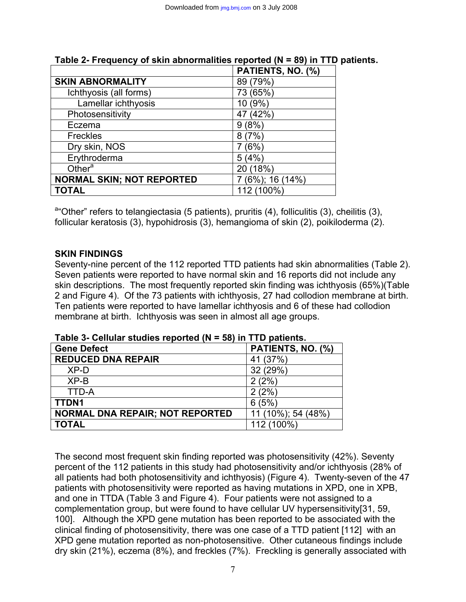|                                  | PATIENTS, NO. (%) |
|----------------------------------|-------------------|
| <b>SKIN ABNORMALITY</b>          | 89 (79%)          |
| Ichthyosis (all forms)           | 73 (65%)          |
| Lamellar ichthyosis              | 10 (9%)           |
| Photosensitivity                 | 47 (42%)          |
| Eczema                           | 9(8%)             |
| <b>Freckles</b>                  | 8(7%)             |
| Dry skin, NOS                    | (6%               |
| Erythroderma                     | 5(4%)             |
| Other $a$                        | 20 (18%)          |
| <b>NORMAL SKIN; NOT REPORTED</b> | 7 (6%); 16 (14%)  |
| <b>TOTAL</b>                     | 112 (100%)        |

# **Table 2- Frequency of skin abnormalities reported (N = 89) in TTD patients.**

<sup>a</sup> Other" refers to telangiectasia (5 patients), pruritis (4), folliculitis (3), cheilitis (3), follicular keratosis (3), hypohidrosis (3), hemangioma of skin (2), poikiloderma (2).

## **SKIN FINDINGS**

Seventy-nine percent of the 112 reported TTD patients had skin abnormalities (Table 2). Seven patients were reported to have normal skin and 16 reports did not include any skin descriptions. The most frequently reported skin finding was ichthyosis (65%)(Table 2 and Figure 4). Of the 73 patients with ichthyosis, 27 had collodion membrane at birth. Ten patients were reported to have lamellar ichthyosis and 6 of these had collodion membrane at birth. Ichthyosis was seen in almost all age groups.

| <b>Gene Defect</b>                     | PATIENTS, NO. (%)  |
|----------------------------------------|--------------------|
| <b>REDUCED DNA REPAIR</b>              | 41 (37%)           |
| XP-D                                   | 32 (29%)           |
| $XP-B$                                 | 2(2%)              |
| <b>TTD-A</b>                           | 2(2%)              |
| <b>TTDN1</b>                           | 6(5%)              |
| <b>NORMAL DNA REPAIR; NOT REPORTED</b> | 11 (10%); 54 (48%) |
| <b>TOTAL</b>                           | 112 (100%)         |

**Table 3- Cellular studies reported (N = 58) in TTD patients.** 

The second most frequent skin finding reported was photosensitivity (42%). Seventy percent of the 112 patients in this study had photosensitivity and/or ichthyosis (28% of all patients had both photosensitivity and ichthyosis) (Figure 4). Twenty-seven of the 47 patients with photosensitivity were reported as having mutations in XPD, one in XPB, and one in TTDA (Table 3 and Figure 4). Four patients were not assigned to a complementation group, but were found to have cellular UV hypersensitivity[31, 59, 100]. Although the XPD gene mutation has been reported to be associated with the clinical finding of photosensitivity, there was one case of a TTD patient [112] with an XPD gene mutation reported as non-photosensitive. Other cutaneous findings include dry skin (21%), eczema (8%), and freckles (7%). Freckling is generally associated with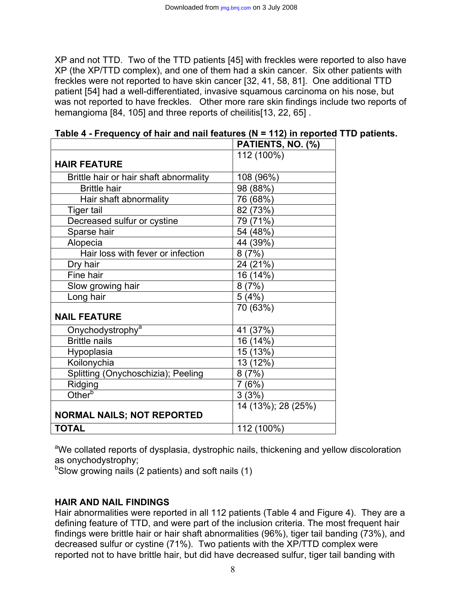XP and not TTD. Two of the TTD patients [45] with freckles were reported to also have XP (the XP/TTD complex), and one of them had a skin cancer. Six other patients with freckles were not reported to have skin cancer [32, 41, 58, 81]. One additional TTD patient [54] had a well-differentiated, invasive squamous carcinoma on his nose, but was not reported to have freckles. Other more rare skin findings include two reports of hemangioma [84, 105] and three reports of cheilitis[13, 22, 65]

| PATIENTS, NO. (%)  |
|--------------------|
| 112 (100%)         |
|                    |
| 108 (96%)          |
| 98 (88%)           |
| 76 (68%)           |
| 82 (73%)           |
| 79 (71%)           |
| 54 (48%)           |
| 44 (39%)           |
| 8(7%)              |
| 24 (21%)           |
| 16 (14%)           |
| 8(7%)              |
| 5(4%)              |
| 70 (63%)           |
|                    |
| 41 (37%)           |
| 16 (14%)           |
| 15 (13%)           |
| 13 (12%)           |
| 8(7%)              |
| 7(6%)              |
| 3(3%)              |
| 14 (13%); 28 (25%) |
|                    |
| 112 (100%)         |
|                    |

| Table 4 - Frequency of hair and nail features (N = 112) in reported TTD patients. |  |  |
|-----------------------------------------------------------------------------------|--|--|
|-----------------------------------------------------------------------------------|--|--|

<sup>a</sup>We collated reports of dysplasia, dystrophic nails, thickening and yellow discoloration as onychodystrophy;

<sup>b</sup>Slow growing nails (2 patients) and soft nails (1)

## **HAIR AND NAIL FINDINGS**

Hair abnormalities were reported in all 112 patients (Table 4 and Figure 4). They are a defining feature of TTD, and were part of the inclusion criteria. The most frequent hair findings were brittle hair or hair shaft abnormalities (96%), tiger tail banding (73%), and decreased sulfur or cystine (71%). Two patients with the XP/TTD complex were reported not to have brittle hair, but did have decreased sulfur, tiger tail banding with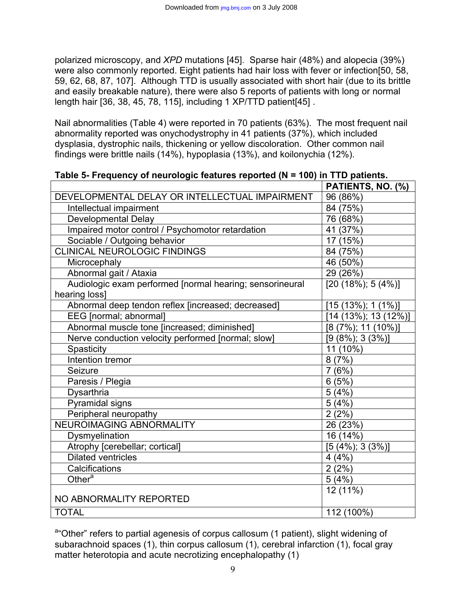polarized microscopy, and *XPD* mutations [45]. Sparse hair (48%) and alopecia (39%) were also commonly reported. Eight patients had hair loss with fever or infection[50, 58, 59, 62, 68, 87, 107]. Although TTD is usually associated with short hair (due to its brittle and easily breakable nature), there were also 5 reports of patients with long or normal length hair [36, 38, 45, 78, 115], including 1 XP/TTD patient[45] .

Nail abnormalities (Table 4) were reported in 70 patients (63%). The most frequent nail abnormality reported was onychodystrophy in 41 patients (37%), which included dysplasia, dystrophic nails, thickening or yellow discoloration. Other common nail findings were brittle nails (14%), hypoplasia (13%), and koilonychia (12%).

|                                                          | PATIENTS, NO. (%)        |
|----------------------------------------------------------|--------------------------|
| DEVELOPMENTAL DELAY OR INTELLECTUAL IMPAIRMENT           | 96 (86%)                 |
| Intellectual impairment                                  | 84 (75%)                 |
| <b>Developmental Delay</b>                               | 76 (68%)                 |
| Impaired motor control / Psychomotor retardation         | $41(37\%)$               |
| Sociable / Outgoing behavior                             | 17 (15%)                 |
| <b>CLINICAL NEUROLOGIC FINDINGS</b>                      | 84 (75%)                 |
| Microcephaly                                             | 46 (50%)                 |
| Abnormal gait / Ataxia                                   | 29 (26%)                 |
| Audiologic exam performed [normal hearing; sensorineural | $[20 (18\%); 5 (4\%)]$   |
| hearing loss]                                            |                          |
| Abnormal deep tendon reflex [increased; decreased]       | $[15 (13\%); 1 (1\%)]$   |
| EEG [normal; abnormal]                                   | $[14 (13\%); 13 (12\%)]$ |
| Abnormal muscle tone [increased; diminished]             | $[8 (7\%)$ ; 11 (10%)]   |
| Nerve conduction velocity performed [normal; slow]       | $[9 (8\%), 3 (3\%)]$     |
| Spasticity                                               | 11 (10%)                 |
| Intention tremor                                         | 8(7%)                    |
| Seizure                                                  | 7(6%)                    |
| Paresis / Plegia                                         | 6(5%)                    |
| Dysarthria                                               | 5(4%)                    |
| Pyramidal signs                                          | 5(4%)                    |
| Peripheral neuropathy                                    | 2(2%)                    |
| <b>NEUROIMAGING ABNORMALITY</b>                          | 26 (23%)                 |
| Dysmyelination                                           | 16 (14%)                 |
| Atrophy [cerebellar; cortical]                           | $[5 (4\%), 3 (3\%)]$     |
| <b>Dilated ventricles</b>                                | 4(4%)                    |
| Calcifications                                           | 2(2%)                    |
| Other <sup>a</sup>                                       | 5(4%)                    |
|                                                          | 12 (11%)                 |
| NO ABNORMALITY REPORTED                                  |                          |
| <b>TOTAL</b>                                             | 112 (100%)               |

**Table 5- Frequency of neurologic features reported (N = 100) in TTD patients.** 

<sup>a</sup> "Other" refers to partial agenesis of corpus callosum (1 patient), slight widening of subarachnoid spaces (1), thin corpus callosum (1), cerebral infarction (1), focal gray matter heterotopia and acute necrotizing encephalopathy (1)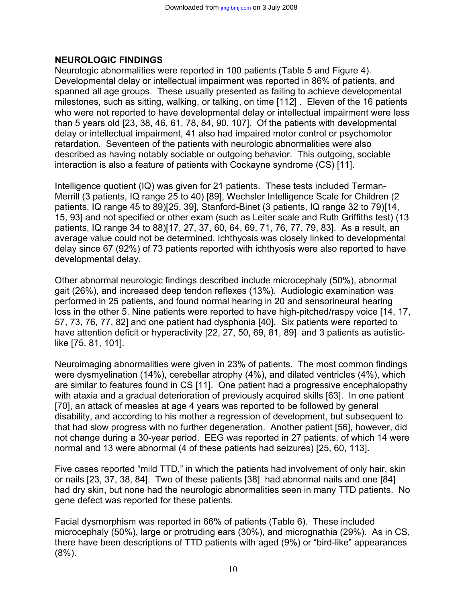#### **NEUROLOGIC FINDINGS**

Neurologic abnormalities were reported in 100 patients (Table 5 and Figure 4). Developmental delay or intellectual impairment was reported in 86% of patients, and spanned all age groups. These usually presented as failing to achieve developmental milestones, such as sitting, walking, or talking, on time [112] . Eleven of the 16 patients who were not reported to have developmental delay or intellectual impairment were less than 5 years old [23, 38, 46, 61, 78, 84, 90, 107]. Of the patients with developmental delay or intellectual impairment, 41 also had impaired motor control or psychomotor retardation. Seventeen of the patients with neurologic abnormalities were also described as having notably sociable or outgoing behavior. This outgoing, sociable interaction is also a feature of patients with Cockayne syndrome (CS) [11].

Intelligence quotient (IQ) was given for 21 patients. These tests included Terman-Merrill (3 patients, IQ range 25 to 40) [89], Wechsler Intelligence Scale for Children (2 patients, IQ range 45 to 89)[25, 39], Stanford-Binet (3 patients, IQ range 32 to 79)[14, 15, 93] and not specified or other exam (such as Leiter scale and Ruth Griffiths test) (13 patients, IQ range 34 to 88)[17, 27, 37, 60, 64, 69, 71, 76, 77, 79, 83]. As a result, an average value could not be determined. Ichthyosis was closely linked to developmental delay since 67 (92%) of 73 patients reported with ichthyosis were also reported to have developmental delay.

Other abnormal neurologic findings described include microcephaly (50%), abnormal gait (26%), and increased deep tendon reflexes (13%). Audiologic examination was performed in 25 patients, and found normal hearing in 20 and sensorineural hearing loss in the other 5. Nine patients were reported to have high-pitched/raspy voice [14, 17, 57, 73, 76, 77, 82] and one patient had dysphonia [40]. Six patients were reported to have attention deficit or hyperactivity [22, 27, 50, 69, 81, 89] and 3 patients as autisticlike [75, 81, 101].

Neuroimaging abnormalities were given in 23% of patients. The most common findings were dysmyelination (14%), cerebellar atrophy (4%), and dilated ventricles (4%), which are similar to features found in CS [11]. One patient had a progressive encephalopathy with ataxia and a gradual deterioration of previously acquired skills [63]. In one patient [70], an attack of measles at age 4 years was reported to be followed by general disability, and according to his mother a regression of development, but subsequent to that had slow progress with no further degeneration. Another patient [56], however, did not change during a 30-year period. EEG was reported in 27 patients, of which 14 were normal and 13 were abnormal (4 of these patients had seizures) [25, 60, 113].

Five cases reported "mild TTD," in which the patients had involvement of only hair, skin or nails [23, 37, 38, 84]. Two of these patients [38] had abnormal nails and one [84] had dry skin, but none had the neurologic abnormalities seen in many TTD patients. No gene defect was reported for these patients.

Facial dysmorphism was reported in 66% of patients (Table 6). These included microcephaly (50%), large or protruding ears (30%), and micrognathia (29%). As in CS, there have been descriptions of TTD patients with aged (9%) or "bird-like" appearances (8%).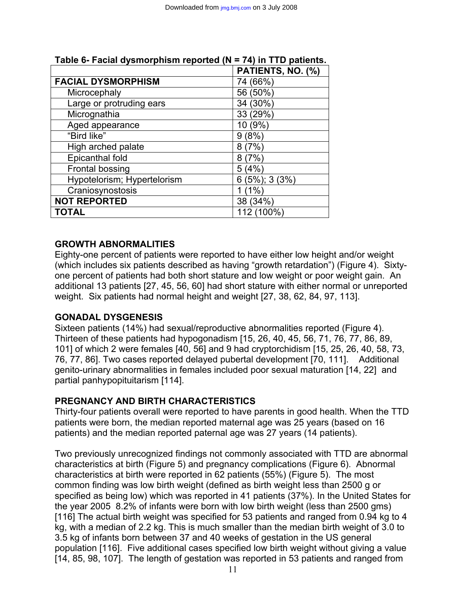|                             | PATIENTS, NO. (%)    |
|-----------------------------|----------------------|
| <b>FACIAL DYSMORPHISM</b>   | 74 (66%)             |
| Microcephaly                | 56 (50%)             |
| Large or protruding ears    | 34 (30%)             |
| Micrognathia                | 33 (29%)             |
| Aged appearance             | 10 (9%)              |
| "Bird like"                 | 9(8%)                |
| High arched palate          | 8(7%)                |
| Epicanthal fold             | 8(7%)                |
| <b>Frontal bossing</b>      | 5(4%)                |
| Hypotelorism; Hypertelorism | $6(5\%)$ ; 3 $(3\%)$ |
| Craniosynostosis            | (1%)                 |
| <b>NOT REPORTED</b>         | 38 (34%)             |
| <b>TOTAL</b>                | 112 (100%)           |

# **Table 6- Facial dysmorphism reported (N = 74) in TTD patients.**

## **GROWTH ABNORMALITIES**

Eighty-one percent of patients were reported to have either low height and/or weight (which includes six patients described as having "growth retardation") (Figure 4). Sixtyone percent of patients had both short stature and low weight or poor weight gain. An additional 13 patients [27, 45, 56, 60] had short stature with either normal or unreported weight. Six patients had normal height and weight [27, 38, 62, 84, 97, 113].

## **GONADAL DYSGENESIS**

Sixteen patients (14%) had sexual/reproductive abnormalities reported (Figure 4). Thirteen of these patients had hypogonadism [15, 26, 40, 45, 56, 71, 76, 77, 86, 89, 101] of which 2 were females [40, 56] and 9 had cryptorchidism [15, 25, 26, 40, 58, 73, 76, 77, 86]. Two cases reported delayed pubertal development [70, 111]. Additional genito-urinary abnormalities in females included poor sexual maturation [14, 22] and partial panhypopituitarism [114].

## **PREGNANCY AND BIRTH CHARACTERISTICS**

Thirty-four patients overall were reported to have parents in good health. When the TTD patients were born, the median reported maternal age was 25 years (based on 16 patients) and the median reported paternal age was 27 years (14 patients).

Two previously unrecognized findings not commonly associated with TTD are abnormal characteristics at birth (Figure 5) and pregnancy complications (Figure 6).Abnormal characteristics at birth were reported in 62 patients (55%) (Figure 5). The most common finding was low birth weight (defined as birth weight less than 2500 g or specified as being low) which was reported in 41 patients (37%). In the United States for the year 2005 8.2% of infants were born with low birth weight (less than 2500 gms) [116] The actual birth weight was specified for 53 patients and ranged from 0.94 kg to 4 kg, with a median of 2.2 kg. This is much smaller than the median birth weight of 3.0 to 3.5 kg of infants born between 37 and 40 weeks of gestation in the US general population [116]. Five additional cases specified low birth weight without giving a value [14, 85, 98, 107]. The length of gestation was reported in 53 patients and ranged from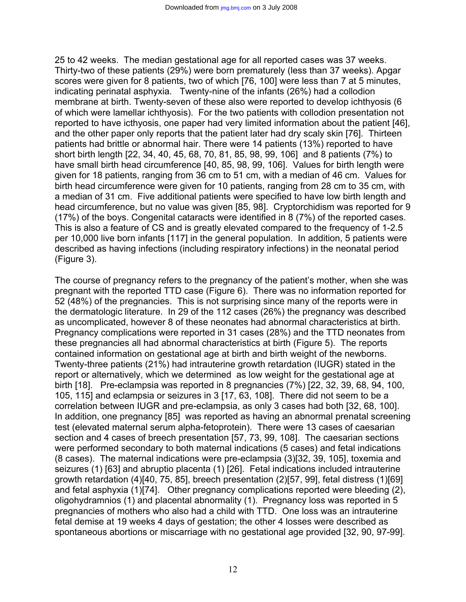25 to 42 weeks. The median gestational age for all reported cases was 37 weeks. Thirty-two of these patients (29%) were born prematurely (less than 37 weeks). Apgar scores were given for 8 patients, two of which [76, 100] were less than 7 at 5 minutes, indicating perinatal asphyxia. Twenty-nine of the infants (26%) had a collodion membrane at birth. Twenty-seven of these also were reported to develop ichthyosis (6 of which were lamellar ichthyosis). For the two patients with collodion presentation not reported to have icthyosis, one paper had very limited information about the patient [46], and the other paper only reports that the patient later had dry scaly skin [76]. Thirteen patients had brittle or abnormal hair. There were 14 patients (13%) reported to have short birth length [22, 34, 40, 45, 68, 70, 81, 85, 98, 99, 106] and 8 patients (7%) to have small birth head circumference [40, 85, 98, 99, 106]. Values for birth length were given for 18 patients, ranging from 36 cm to 51 cm, with a median of 46 cm. Values for birth head circumference were given for 10 patients, ranging from 28 cm to 35 cm, with a median of 31 cm. Five additional patients were specified to have low birth length and head circumference, but no value was given [85, 98]. Cryptorchidism was reported for 9 (17%) of the boys. Congenital cataracts were identified in 8 (7%) of the reported cases. This is also a feature of CS and is greatly elevated compared to the frequency of 1-2.5 per 10,000 live born infants [117] in the general population. In addition, 5 patients were described as having infections (including respiratory infections) in the neonatal period (Figure 3).

The course of pregnancy refers to the pregnancy of the patient's mother, when she was pregnant with the reported TTD case (Figure 6). There was no information reported for 52 (48%) of the pregnancies. This is not surprising since many of the reports were in the dermatologic literature. In 29 of the 112 cases (26%) the pregnancy was described as uncomplicated, however 8 of these neonates had abnormal characteristics at birth. Pregnancy complications were reported in 31 cases (28%) and the TTD neonates from these pregnancies all had abnormal characteristics at birth (Figure 5). The reports contained information on gestational age at birth and birth weight of the newborns. Twenty-three patients (21%) had intrauterine growth retardation (IUGR) stated in the report or alternatively, which we determined as low weight for the gestational age at birth [18]. Pre-eclampsia was reported in 8 pregnancies (7%) [22, 32, 39, 68, 94, 100, 105, 115] and eclampsia or seizures in 3 [17, 63, 108]. There did not seem to be a correlation between IUGR and pre-eclampsia, as only 3 cases had both [32, 68, 100]. In addition, one pregnancy [85] was reported as having an abnormal prenatal screening test (elevated maternal serum alpha-fetoprotein). There were 13 cases of caesarian section and 4 cases of breech presentation [57, 73, 99, 108]. The caesarian sections were performed secondary to both maternal indications (5 cases) and fetal indications (8 cases). The maternal indications were pre-eclampsia (3)[32, 39, 105], toxemia and seizures (1) [63] and abruptio placenta (1) [26]. Fetal indications included intrauterine growth retardation (4)[40, 75, 85], breech presentation (2)[57, 99], fetal distress (1)[69] and fetal asphyxia (1)[74]. Other pregnancy complications reported were bleeding (2), oligohydramnios (1) and placental abnormality (1). Pregnancy loss was reported in 5 pregnancies of mothers who also had a child with TTD. One loss was an intrauterine fetal demise at 19 weeks 4 days of gestation; the other 4 losses were described as spontaneous abortions or miscarriage with no gestational age provided [32, 90, 97-99].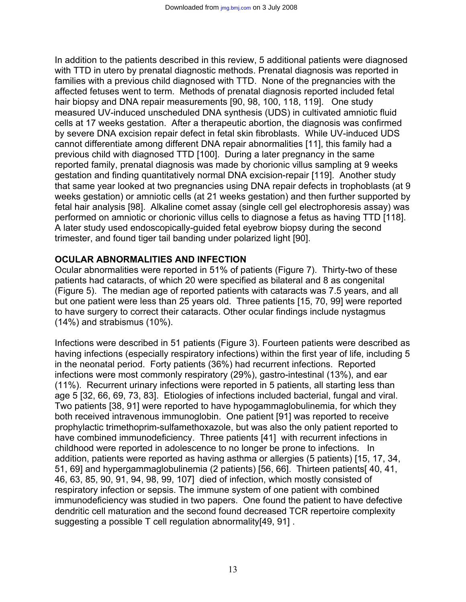In addition to the patients described in this review, 5 additional patients were diagnosed with TTD in utero by prenatal diagnostic methods. Prenatal diagnosis was reported in families with a previous child diagnosed with TTD. None of the pregnancies with the affected fetuses went to term. Methods of prenatal diagnosis reported included fetal hair biopsy and DNA repair measurements [90, 98, 100, 118, 119]. One study measured UV-induced unscheduled DNA synthesis (UDS) in cultivated amniotic fluid cells at 17 weeks gestation. After a therapeutic abortion, the diagnosis was confirmed by severe DNA excision repair defect in fetal skin fibroblasts. While UV-induced UDS cannot differentiate among different DNA repair abnormalities [11], this family had a previous child with diagnosed TTD [100]. During a later pregnancy in the same reported family, prenatal diagnosis was made by chorionic villus sampling at 9 weeks gestation and finding quantitatively normal DNA excision-repair [119]. Another study that same year looked at two pregnancies using DNA repair defects in trophoblasts (at 9 weeks gestation) or amniotic cells (at 21 weeks gestation) and then further supported by fetal hair analysis [98]. Alkaline comet assay (single cell gel electrophoresis assay) was performed on amniotic or chorionic villus cells to diagnose a fetus as having TTD [118]. A later study used endoscopically-guided fetal eyebrow biopsy during the second trimester, and found tiger tail banding under polarized light [90].

#### **OCULAR ABNORMALITIES AND INFECTION**

Ocular abnormalities were reported in 51% of patients (Figure 7). Thirty-two of these patients had cataracts, of which 20 were specified as bilateral and 8 as congenital (Figure 5). The median age of reported patients with cataracts was 7.5 years, and all but one patient were less than 25 years old. Three patients [15, 70, 99] were reported to have surgery to correct their cataracts. Other ocular findings include nystagmus (14%) and strabismus (10%).

Infections were described in 51 patients (Figure 3). Fourteen patients were described as having infections (especially respiratory infections) within the first year of life, including 5 in the neonatal period. Forty patients (36%) had recurrent infections. Reported infections were most commonly respiratory (29%), gastro-intestinal (13%), and ear (11%). Recurrent urinary infections were reported in 5 patients, all starting less than age 5 [32, 66, 69, 73, 83]. Etiologies of infections included bacterial, fungal and viral. Two patients [38, 91] were reported to have hypogammaglobulinemia, for which they both received intravenous immunoglobin. One patient [91] was reported to receive prophylactic trimethoprim-sulfamethoxazole, but was also the only patient reported to have combined immunodeficiency. Three patients [41] with recurrent infections in childhood were reported in adolescence to no longer be prone to infections. In addition, patients were reported as having asthma or allergies (5 patients) [15, 17, 34, 51, 69] and hypergammaglobulinemia (2 patients) [56, 66]. Thirteen patients[ 40, 41, 46, 63, 85, 90, 91, 94, 98, 99, 107] died of infection, which mostly consisted of respiratory infection or sepsis. The immune system of one patient with combined immunodeficiency was studied in two papers. One found the patient to have defective dendritic cell maturation and the second found decreased TCR repertoire complexity suggesting a possible T cell regulation abnormality[49, 91] .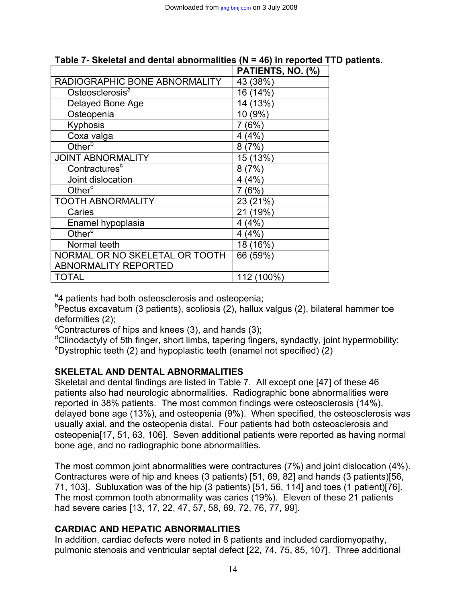|                                | PATIENTS, NO. (%) |
|--------------------------------|-------------------|
| RADIOGRAPHIC BONE ABNORMALITY  | 43 (38%)          |
| Osteosclerosis <sup>a</sup>    | 16 (14%)          |
| Delayed Bone Age               | 14 (13%)          |
| Osteopenia                     | 10 (9%)           |
| Kyphosis                       | 7(6%)             |
| Coxa valga                     | (4%)<br>4         |
| Other <sup>b</sup>             | 8(7%)             |
| <b>JOINT ABNORMALITY</b>       | 15 (13%)          |
| Contractures <sup>c</sup>      | 8(7%)             |
| Joint dislocation              | 4 (4%)            |
| Other $\alpha$                 | 7(6%)             |
| <b>TOOTH ABNORMALITY</b>       | 23 (21%)          |
| Caries                         | 21 (19%)          |
| Enamel hypoplasia              | 4 (4%)            |
| Other <sup>e</sup>             | 4(4%)             |
| Normal teeth                   | 18 (16%)          |
| NORMAL OR NO SKELETAL OR TOOTH | 66 (59%)          |
| <b>ABNORMALITY REPORTED</b>    |                   |
| <b>TOTAL</b>                   | 112 (100%)        |

# **Table 7- Skeletal and dental abnormalities (N = 46) in reported TTD patients.**

<sup>a</sup>4 patients had both osteosclerosis and osteopenia;

<sup>b</sup>Pectus excavatum (3 patients), scoliosis (2), hallux valgus (2), bilateral hammer toe deformities (2);

 $\textdegree$ Contractures of hips and knees (3), and hands (3);

<sup>d</sup>Clinodactyly of 5th finger, short limbs, tapering fingers, syndactly, joint hypermobility;<br><sup>e</sup>Dystrophic tooth (2) and bynoplastic tooth (opamol not specified) (2)  $e^{\theta}$  Dystrophic teeth (2) and hypoplastic teeth (enamel not specified) (2)

## **SKELETAL AND DENTAL ABNORMALITIES**

Skeletal and dental findings are listed in Table 7. All except one [47] of these 46 patients also had neurologic abnormalities. Radiographic bone abnormalities were reported in 38% patients. The most common findings were osteosclerosis (14%), delayed bone age (13%), and osteopenia (9%). When specified, the osteosclerosis was usually axial, and the osteopenia distal. Four patients had both osteosclerosis and osteopenia[17, 51, 63, 106]. Seven additional patients were reported as having normal bone age, and no radiographic bone abnormalities.

The most common joint abnormalities were contractures (7%) and joint dislocation (4%). Contractures were of hip and knees (3 patients) [51, 69, 82] and hands (3 patients)[56, 71, 103]. Subluxation was of the hip (3 patients) [51, 56, 114] and toes (1 patient)[76]. The most common tooth abnormality was caries (19%). Eleven of these 21 patients had severe caries [13, 17, 22, 47, 57, 58, 69, 72, 76, 77, 99].

# **CARDIAC AND HEPATIC ABNORMALITIES**

In addition, cardiac defects were noted in 8 patients and included cardiomyopathy, pulmonic stenosis and ventricular septal defect [22, 74, 75, 85, 107]. Three additional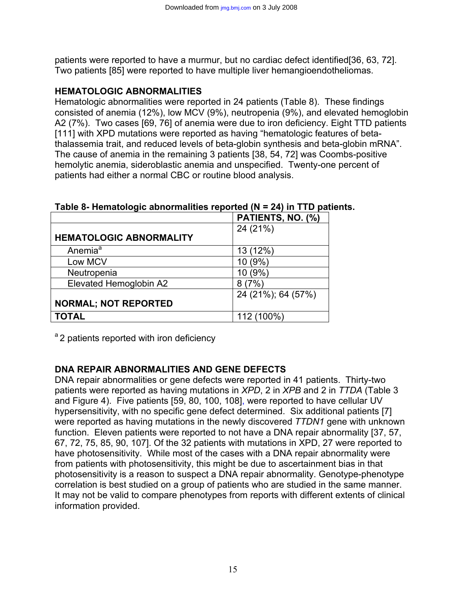patients were reported to have a murmur, but no cardiac defect identified[36, 63, 72]. Two patients [85] were reported to have multiple liver hemangioendotheliomas.

## **HEMATOLOGIC ABNORMALITIES**

Hematologic abnormalities were reported in 24 patients (Table 8). These findings consisted of anemia (12%), low MCV (9%), neutropenia (9%), and elevated hemoglobin A2 (7%). Two cases [69, 76] of anemia were due to iron deficiency. Eight TTD patients [111] with XPD mutations were reported as having "hematologic features of betathalassemia trait, and reduced levels of beta-globin synthesis and beta-globin mRNA". The cause of anemia in the remaining 3 patients [38, 54, 72] was Coombs-positive hemolytic anemia, sideroblastic anemia and unspecified. Twenty-one percent of patients had either a normal CBC or routine blood analysis.

| Table 8- Hematologic abnormalities reported ( $N = 24$ ) in TTD patients. |                   |  |
|---------------------------------------------------------------------------|-------------------|--|
|                                                                           | PATIENTS, NO. (%) |  |
|                                                                           |                   |  |

|                                | $\blacksquare$     |
|--------------------------------|--------------------|
|                                | 24 (21%)           |
| <b>HEMATOLOGIC ABNORMALITY</b> |                    |
| Anemia <sup>a</sup>            | 13 (12%)           |
| Low MCV                        | 10 (9%)            |
| Neutropenia                    | 10 (9%)            |
| Elevated Hemoglobin A2         | 8(7%)              |
|                                | 24 (21%); 64 (57%) |
| <b>NORMAL; NOT REPORTED</b>    |                    |
| <b>TOTAL</b>                   | 112 (100%)         |

<sup>a</sup> 2 patients reported with iron deficiency

# **DNA REPAIR ABNORMALITIES AND GENE DEFECTS**

DNA repair abnormalities or gene defects were reported in 41 patients. Thirty-two patients were reported as having mutations in *XPD*, 2 in *XPB* and 2 in *TTDA* (Table 3 and Figure 4). Five patients [59, 80, 100, 108], were reported to have cellular UV hypersensitivity, with no specific gene defect determined. Six additional patients [7] were reported as having mutations in the newly discovered *TTDN1* gene with unknown function. Eleven patients were reported to not have a DNA repair abnormality [37, 57, 67, 72, 75, 85, 90, 107]. Of the 32 patients with mutations in XPD, 27 were reported to have photosensitivity. While most of the cases with a DNA repair abnormality were from patients with photosensitivity, this might be due to ascertainment bias in that photosensitivity is a reason to suspect a DNA repair abnormality. Genotype-phenotype correlation is best studied on a group of patients who are studied in the same manner. It may not be valid to compare phenotypes from reports with different extents of clinical information provided.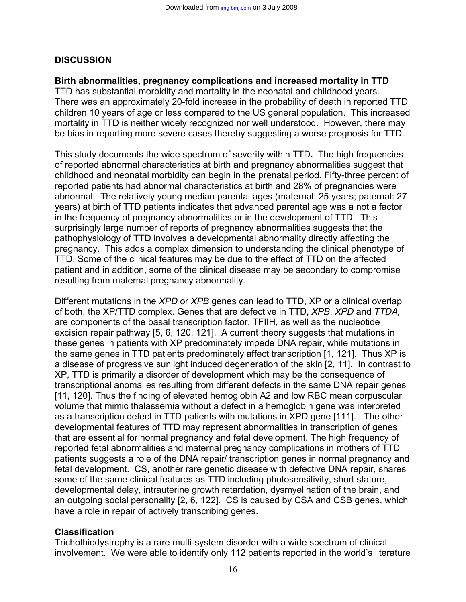#### **DISCUSSION**

#### **Birth abnormalities, pregnancy complications and increased mortality in TTD**

TTD has substantial morbidity and mortality in the neonatal and childhood years. There was an approximately 20-fold increase in the probability of death in reported TTD children 10 years of age or less compared to the US general population. This increased mortality in TTD is neither widely recognized nor well understood. However, there may be bias in reporting more severe cases thereby suggesting a worse prognosis for TTD.

This study documents the wide spectrum of severity within TTD**.** The high frequencies of reported abnormal characteristics at birth and pregnancy abnormalities suggest that childhood and neonatal morbidity can begin in the prenatal period. Fifty-three percent of reported patients had abnormal characteristics at birth and 28% of pregnancies were abnormal. The relatively young median parental ages (maternal: 25 years; paternal: 27 years) at birth of TTD patients indicates that advanced parental age was a not a factor in the frequency of pregnancy abnormalities or in the development of TTD. This surprisingly large number of reports of pregnancy abnormalities suggests that the pathophysiology of TTD involves a developmental abnormality directly affecting the pregnancy. This adds a complex dimension to understanding the clinical phenotype of TTD. Some of the clinical features may be due to the effect of TTD on the affected patient and in addition, some of the clinical disease may be secondary to compromise resulting from maternal pregnancy abnormality.

Different mutations in the *XPD* or *XPB* genes can lead to TTD, XP or a clinical overlap of both, the XP/TTD complex. Genes that are defective in TTD, *XPB*, *XPD* and *TTDA,* are components of the basal transcription factor, TFIIH, as well as the nucleotide excision repair pathway [5, 6, 120, 121]. A current theory suggests that mutations in these genes in patients with XP predominately impede DNA repair, while mutations in the same genes in TTD patients predominately affect transcription [1, 121]. Thus XP is a disease of progressive sunlight induced degeneration of the skin [2, 11]. In contrast to XP, TTD is primarily a disorder of development which may be the consequence of transcriptional anomalies resulting from different defects in the same DNA repair genes [11, 120]. Thus the finding of elevated hemoglobin A2 and low RBC mean corpuscular volume that mimic thalassemia without a defect in a hemoglobin gene was interpreted as a transcription defect in TTD patients with mutations in XPD gene [111]. The other developmental features of TTD may represent abnormalities in transcription of genes that are essential for normal pregnancy and fetal development. The high frequency of reported fetal abnormalities and maternal pregnancy complications in mothers of TTD patients suggests a role of the DNA repair/ transcription genes in normal pregnancy and fetal development. CS, another rare genetic disease with defective DNA repair, shares some of the same clinical features as TTD including photosensitivity, short stature, developmental delay, intrauterine growth retardation, dysmyelination of the brain, and an outgoing social personality [2, 6, 122]. CS is caused by CSA and CSB genes, which have a role in repair of actively transcribing genes.

## **Classification**

Trichothiodystrophy is a rare multi-system disorder with a wide spectrum of clinical involvement. We were able to identify only 112 patients reported in the world's literature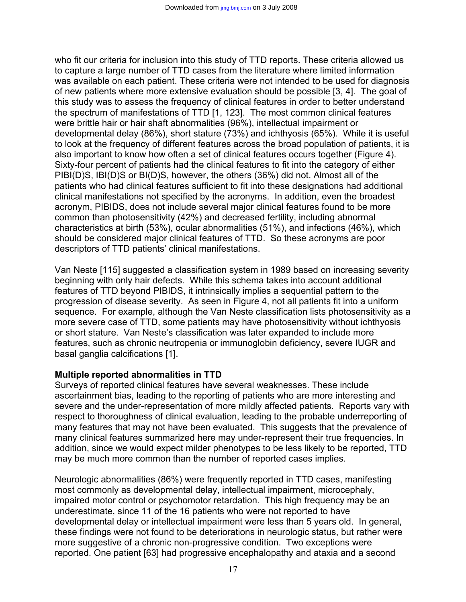who fit our criteria for inclusion into this study of TTD reports. These criteria allowed us to capture a large number of TTD cases from the literature where limited information was available on each patient. These criteria were not intended to be used for diagnosis of new patients where more extensive evaluation should be possible [3, 4]. The goal of this study was to assess the frequency of clinical features in order to better understand the spectrum of manifestations of TTD [1, 123]. The most common clinical features were brittle hair or hair shaft abnormalities (96%), intellectual impairment or developmental delay (86%), short stature (73%) and ichthyosis (65%). While it is useful to look at the frequency of different features across the broad population of patients, it is also important to know how often a set of clinical features occurs together (Figure 4). Sixty-four percent of patients had the clinical features to fit into the category of either PIBI(D)S, IBI(D)S or BI(D)S, however, the others (36%) did not. Almost all of the patients who had clinical features sufficient to fit into these designations had additional clinical manifestations not specified by the acronyms. In addition, even the broadest acronym, PIBIDS, does not include several major clinical features found to be more common than photosensitivity (42%) and decreased fertility, including abnormal characteristics at birth (53%), ocular abnormalities (51%), and infections (46%), which should be considered major clinical features of TTD. So these acronyms are poor descriptors of TTD patients' clinical manifestations.

Van Neste [115] suggested a classification system in 1989 based on increasing severity beginning with only hair defects. While this schema takes into account additional features of TTD beyond PIBIDS, it intrinsically implies a sequential pattern to the progression of disease severity. As seen in Figure 4, not all patients fit into a uniform sequence. For example, although the Van Neste classification lists photosensitivity as a more severe case of TTD, some patients may have photosensitivity without ichthyosis or short stature. Van Neste's classification was later expanded to include more features, such as chronic neutropenia or immunoglobin deficiency, severe IUGR and basal ganglia calcifications [1].

#### **Multiple reported abnormalities in TTD**

Surveys of reported clinical features have several weaknesses. These include ascertainment bias, leading to the reporting of patients who are more interesting and severe and the under-representation of more mildly affected patients. Reports vary with respect to thoroughness of clinical evaluation, leading to the probable underreporting of many features that may not have been evaluated. This suggests that the prevalence of many clinical features summarized here may under-represent their true frequencies. In addition, since we would expect milder phenotypes to be less likely to be reported, TTD may be much more common than the number of reported cases implies.

Neurologic abnormalities (86%) were frequently reported in TTD cases, manifesting most commonly as developmental delay, intellectual impairment, microcephaly, impaired motor control or psychomotor retardation. This high frequency may be an underestimate, since 11 of the 16 patients who were not reported to have developmental delay or intellectual impairment were less than 5 years old. In general, these findings were not found to be deteriorations in neurologic status, but rather were more suggestive of a chronic non-progressive condition. Two exceptions were reported. One patient [63] had progressive encephalopathy and ataxia and a second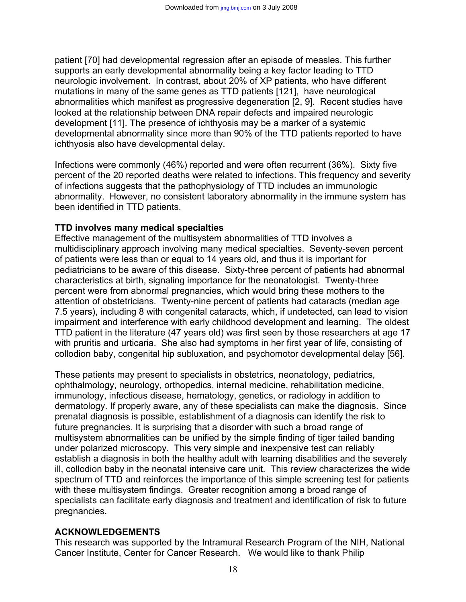patient [70] had developmental regression after an episode of measles. This further supports an early developmental abnormality being a key factor leading to TTD neurologic involvement. In contrast, about 20% of XP patients, who have different mutations in many of the same genes as TTD patients [121], have neurological abnormalities which manifest as progressive degeneration [2, 9]. Recent studies have looked at the relationship between DNA repair defects and impaired neurologic development [11]. The presence of ichthyosis may be a marker of a systemic developmental abnormality since more than 90% of the TTD patients reported to have ichthyosis also have developmental delay.

Infections were commonly (46%) reported and were often recurrent (36%). Sixty five percent of the 20 reported deaths were related to infections. This frequency and severity of infections suggests that the pathophysiology of TTD includes an immunologic abnormality.However, no consistent laboratory abnormality in the immune system has been identified in TTD patients.

#### **TTD involves many medical specialties**

Effective management of the multisystem abnormalities of TTD involves a multidisciplinary approach involving many medical specialties. Seventy-seven percent of patients were less than or equal to 14 years old, and thus it is important for pediatricians to be aware of this disease. Sixty-three percent of patients had abnormal characteristics at birth, signaling importance for the neonatologist. Twenty-three percent were from abnormal pregnancies, which would bring these mothers to the attention of obstetricians. Twenty-nine percent of patients had cataracts (median age 7.5 years), including 8 with congenital cataracts, which, if undetected, can lead to vision impairment and interference with early childhood development and learning. The oldest TTD patient in the literature (47 years old) was first seen by those researchers at age 17 with pruritis and urticaria. She also had symptoms in her first year of life, consisting of collodion baby, congenital hip subluxation, and psychomotor developmental delay [56].

These patients may present to specialists in obstetrics, neonatology, pediatrics, ophthalmology, neurology, orthopedics, internal medicine, rehabilitation medicine, immunology, infectious disease, hematology, genetics, or radiology in addition to dermatology. If properly aware, any of these specialists can make the diagnosis. Since prenatal diagnosis is possible, establishment of a diagnosis can identify the risk to future pregnancies. It is surprising that a disorder with such a broad range of multisystem abnormalities can be unified by the simple finding of tiger tailed banding under polarized microscopy. This very simple and inexpensive test can reliably establish a diagnosis in both the healthy adult with learning disabilities and the severely ill, collodion baby in the neonatal intensive care unit. This review characterizes the wide spectrum of TTD and reinforces the importance of this simple screening test for patients with these multisystem findings. Greater recognition among a broad range of specialists can facilitate early diagnosis and treatment and identification of risk to future pregnancies.

## **ACKNOWLEDGEMENTS**

This research was supported by the Intramural Research Program of the NIH, National Cancer Institute, Center for Cancer Research. We would like to thank Philip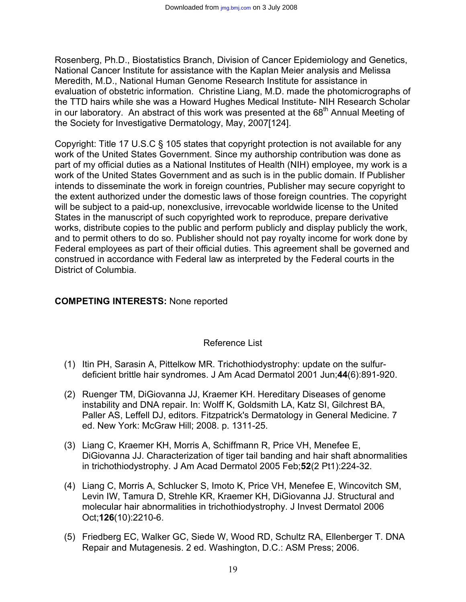Rosenberg, Ph.D., Biostatistics Branch, Division of Cancer Epidemiology and Genetics, National Cancer Institute for assistance with the Kaplan Meier analysis and Melissa Meredith, M.D., National Human Genome Research Institute for assistance in evaluation of obstetric information. Christine Liang, M.D. made the photomicrographs of the TTD hairs while she was a Howard Hughes Medical Institute- NIH Research Scholar in our laboratory. An abstract of this work was presented at the  $68<sup>th</sup>$  Annual Meeting of the Society for Investigative Dermatology, May, 2007[124].

Copyright: Title 17 U.S.C § 105 states that copyright protection is not available for any work of the United States Government. Since my authorship contribution was done as part of my official duties as a National Institutes of Health (NIH) employee, my work is a work of the United States Government and as such is in the public domain. If Publisher intends to disseminate the work in foreign countries, Publisher may secure copyright to the extent authorized under the domestic laws of those foreign countries. The copyright will be subject to a paid-up, nonexclusive, irrevocable worldwide license to the United States in the manuscript of such copyrighted work to reproduce, prepare derivative works, distribute copies to the public and perform publicly and display publicly the work, and to permit others to do so. Publisher should not pay royalty income for work done by Federal employees as part of their official duties. This agreement shall be governed and construed in accordance with Federal law as interpreted by the Federal courts in the District of Columbia.

## **COMPETING INTERESTS:** None reported

#### Reference List

- (1) Itin PH, Sarasin A, Pittelkow MR. Trichothiodystrophy: update on the sulfurdeficient brittle hair syndromes. J Am Acad Dermatol 2001 Jun;**44**(6):891-920.
- (2) Ruenger TM, DiGiovanna JJ, Kraemer KH. Hereditary Diseases of genome instability and DNA repair. In: Wolff K, Goldsmith LA, Katz SI, Gilchrest BA, Paller AS, Leffell DJ, editors. Fitzpatrick's Dermatology in General Medicine. 7 ed. New York: McGraw Hill; 2008. p. 1311-25.
- (3) Liang C, Kraemer KH, Morris A, Schiffmann R, Price VH, Menefee E, DiGiovanna JJ. Characterization of tiger tail banding and hair shaft abnormalities in trichothiodystrophy. J Am Acad Dermatol 2005 Feb;**52**(2 Pt1):224-32.
- (4) Liang C, Morris A, Schlucker S, Imoto K, Price VH, Menefee E, Wincovitch SM, Levin IW, Tamura D, Strehle KR, Kraemer KH, DiGiovanna JJ. Structural and molecular hair abnormalities in trichothiodystrophy. J Invest Dermatol 2006 Oct;**126**(10):2210-6.
- (5) Friedberg EC, Walker GC, Siede W, Wood RD, Schultz RA, Ellenberger T. DNA Repair and Mutagenesis. 2 ed. Washington, D.C.: ASM Press; 2006.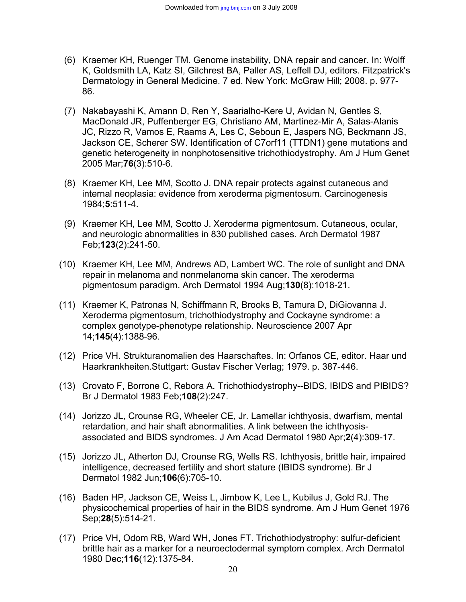- (6) Kraemer KH, Ruenger TM. Genome instability, DNA repair and cancer. In: Wolff K, Goldsmith LA, Katz SI, Gilchrest BA, Paller AS, Leffell DJ, editors. Fitzpatrick's Dermatology in General Medicine. 7 ed. New York: McGraw Hill; 2008. p. 977- 86.
- (7) Nakabayashi K, Amann D, Ren Y, Saarialho-Kere U, Avidan N, Gentles S, MacDonald JR, Puffenberger EG, Christiano AM, Martinez-Mir A, Salas-Alanis JC, Rizzo R, Vamos E, Raams A, Les C, Seboun E, Jaspers NG, Beckmann JS, Jackson CE, Scherer SW. Identification of C7orf11 (TTDN1) gene mutations and genetic heterogeneity in nonphotosensitive trichothiodystrophy. Am J Hum Genet 2005 Mar;**76**(3):510-6.
- (8) Kraemer KH, Lee MM, Scotto J. DNA repair protects against cutaneous and internal neoplasia: evidence from xeroderma pigmentosum. Carcinogenesis 1984;**5**:511-4.
- (9) Kraemer KH, Lee MM, Scotto J. Xeroderma pigmentosum. Cutaneous, ocular, and neurologic abnormalities in 830 published cases. Arch Dermatol 1987 Feb;**123**(2):241-50.
- (10) Kraemer KH, Lee MM, Andrews AD, Lambert WC. The role of sunlight and DNA repair in melanoma and nonmelanoma skin cancer. The xeroderma pigmentosum paradigm. Arch Dermatol 1994 Aug;**130**(8):1018-21.
- (11) Kraemer K, Patronas N, Schiffmann R, Brooks B, Tamura D, DiGiovanna J. Xeroderma pigmentosum, trichothiodystrophy and Cockayne syndrome: a complex genotype-phenotype relationship. Neuroscience 2007 Apr 14;**145**(4):1388-96.
- (12) Price VH. Strukturanomalien des Haarschaftes. In: Orfanos CE, editor. Haar und Haarkrankheiten.Stuttgart: Gustav Fischer Verlag; 1979. p. 387-446.
- (13) Crovato F, Borrone C, Rebora A. Trichothiodystrophy--BIDS, IBIDS and PIBIDS? Br J Dermatol 1983 Feb;**108**(2):247.
- (14) Jorizzo JL, Crounse RG, Wheeler CE, Jr. Lamellar ichthyosis, dwarfism, mental retardation, and hair shaft abnormalities. A link between the ichthyosisassociated and BIDS syndromes. J Am Acad Dermatol 1980 Apr;**2**(4):309-17.
- (15) Jorizzo JL, Atherton DJ, Crounse RG, Wells RS. Ichthyosis, brittle hair, impaired intelligence, decreased fertility and short stature (IBIDS syndrome). Br J Dermatol 1982 Jun;**106**(6):705-10.
- (16) Baden HP, Jackson CE, Weiss L, Jimbow K, Lee L, Kubilus J, Gold RJ. The physicochemical properties of hair in the BIDS syndrome. Am J Hum Genet 1976 Sep;**28**(5):514-21.
- (17) Price VH, Odom RB, Ward WH, Jones FT. Trichothiodystrophy: sulfur-deficient brittle hair as a marker for a neuroectodermal symptom complex. Arch Dermatol 1980 Dec;**116**(12):1375-84.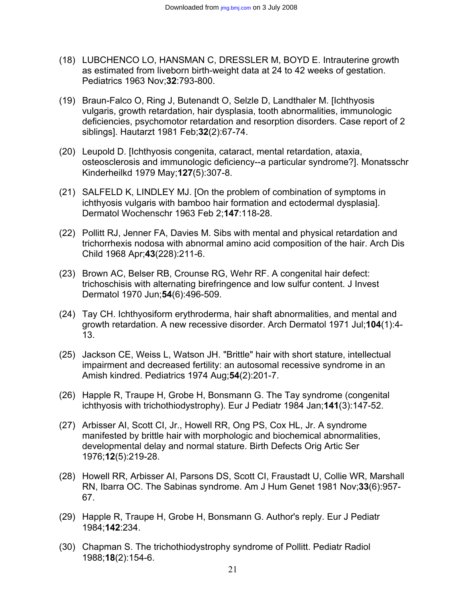- (18) LUBCHENCO LO, HANSMAN C, DRESSLER M, BOYD E. Intrauterine growth as estimated from liveborn birth-weight data at 24 to 42 weeks of gestation. Pediatrics 1963 Nov;**32**:793-800.
- (19) Braun-Falco O, Ring J, Butenandt O, Selzle D, Landthaler M. [Ichthyosis vulgaris, growth retardation, hair dysplasia, tooth abnormalities, immunologic deficiencies, psychomotor retardation and resorption disorders. Case report of 2 siblings]. Hautarzt 1981 Feb;**32**(2):67-74.
- (20) Leupold D. [Ichthyosis congenita, cataract, mental retardation, ataxia, osteosclerosis and immunologic deficiency--a particular syndrome?]. Monatsschr Kinderheilkd 1979 May;**127**(5):307-8.
- (21) SALFELD K, LINDLEY MJ. [On the problem of combination of symptoms in ichthyosis vulgaris with bamboo hair formation and ectodermal dysplasia]. Dermatol Wochenschr 1963 Feb 2;**147**:118-28.
- (22) Pollitt RJ, Jenner FA, Davies M. Sibs with mental and physical retardation and trichorrhexis nodosa with abnormal amino acid composition of the hair. Arch Dis Child 1968 Apr;**43**(228):211-6.
- (23) Brown AC, Belser RB, Crounse RG, Wehr RF. A congenital hair defect: trichoschisis with alternating birefringence and low sulfur content. J Invest Dermatol 1970 Jun;**54**(6):496-509.
- (24) Tay CH. Ichthyosiform erythroderma, hair shaft abnormalities, and mental and growth retardation. A new recessive disorder. Arch Dermatol 1971 Jul;**104**(1):4- 13.
- (25) Jackson CE, Weiss L, Watson JH. "Brittle" hair with short stature, intellectual impairment and decreased fertility: an autosomal recessive syndrome in an Amish kindred. Pediatrics 1974 Aug;**54**(2):201-7.
- (26) Happle R, Traupe H, Grobe H, Bonsmann G. The Tay syndrome (congenital ichthyosis with trichothiodystrophy). Eur J Pediatr 1984 Jan;**141**(3):147-52.
- (27) Arbisser AI, Scott CI, Jr., Howell RR, Ong PS, Cox HL, Jr. A syndrome manifested by brittle hair with morphologic and biochemical abnormalities, developmental delay and normal stature. Birth Defects Orig Artic Ser 1976;**12**(5):219-28.
- (28) Howell RR, Arbisser AI, Parsons DS, Scott CI, Fraustadt U, Collie WR, Marshall RN, Ibarra OC. The Sabinas syndrome. Am J Hum Genet 1981 Nov;**33**(6):957- 67.
- (29) Happle R, Traupe H, Grobe H, Bonsmann G. Author's reply. Eur J Pediatr 1984;**142**:234.
- (30) Chapman S. The trichothiodystrophy syndrome of Pollitt. Pediatr Radiol 1988;**18**(2):154-6.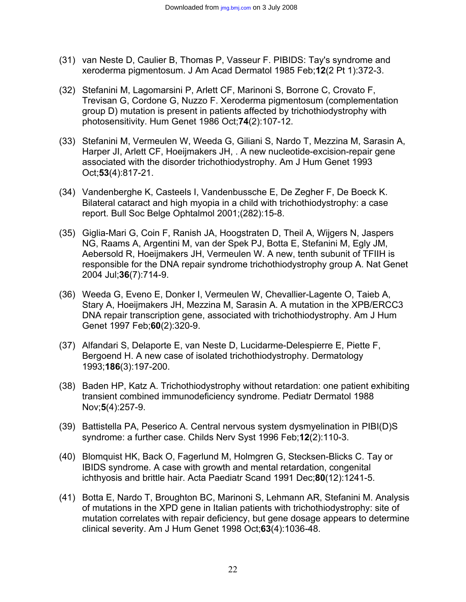- (31) van Neste D, Caulier B, Thomas P, Vasseur F. PIBIDS: Tay's syndrome and xeroderma pigmentosum. J Am Acad Dermatol 1985 Feb;**12**(2 Pt 1):372-3.
- (32) Stefanini M, Lagomarsini P, Arlett CF, Marinoni S, Borrone C, Crovato F, Trevisan G, Cordone G, Nuzzo F. Xeroderma pigmentosum (complementation group D) mutation is present in patients affected by trichothiodystrophy with photosensitivity. Hum Genet 1986 Oct;**74**(2):107-12.
- (33) Stefanini M, Vermeulen W, Weeda G, Giliani S, Nardo T, Mezzina M, Sarasin A, Harper JI, Arlett CF, Hoeijmakers JH, . A new nucleotide-excision-repair gene associated with the disorder trichothiodystrophy. Am J Hum Genet 1993 Oct;**53**(4):817-21.
- (34) Vandenberghe K, Casteels I, Vandenbussche E, De Zegher F, De Boeck K. Bilateral cataract and high myopia in a child with trichothiodystrophy: a case report. Bull Soc Belge Ophtalmol 2001;(282):15-8.
- (35) Giglia-Mari G, Coin F, Ranish JA, Hoogstraten D, Theil A, Wijgers N, Jaspers NG, Raams A, Argentini M, van der Spek PJ, Botta E, Stefanini M, Egly JM, Aebersold R, Hoeijmakers JH, Vermeulen W. A new, tenth subunit of TFIIH is responsible for the DNA repair syndrome trichothiodystrophy group A. Nat Genet 2004 Jul;**36**(7):714-9.
- (36) Weeda G, Eveno E, Donker I, Vermeulen W, Chevallier-Lagente O, Taieb A, Stary A, Hoeijmakers JH, Mezzina M, Sarasin A. A mutation in the XPB/ERCC3 DNA repair transcription gene, associated with trichothiodystrophy. Am J Hum Genet 1997 Feb;**60**(2):320-9.
- (37) Alfandari S, Delaporte E, van Neste D, Lucidarme-Delespierre E, Piette F, Bergoend H. A new case of isolated trichothiodystrophy. Dermatology 1993;**186**(3):197-200.
- (38) Baden HP, Katz A. Trichothiodystrophy without retardation: one patient exhibiting transient combined immunodeficiency syndrome. Pediatr Dermatol 1988 Nov;**5**(4):257-9.
- (39) Battistella PA, Peserico A. Central nervous system dysmyelination in PIBI(D)S syndrome: a further case. Childs Nerv Syst 1996 Feb;**12**(2):110-3.
- (40) Blomquist HK, Back O, Fagerlund M, Holmgren G, Stecksen-Blicks C. Tay or IBIDS syndrome. A case with growth and mental retardation, congenital ichthyosis and brittle hair. Acta Paediatr Scand 1991 Dec;**80**(12):1241-5.
- (41) Botta E, Nardo T, Broughton BC, Marinoni S, Lehmann AR, Stefanini M. Analysis of mutations in the XPD gene in Italian patients with trichothiodystrophy: site of mutation correlates with repair deficiency, but gene dosage appears to determine clinical severity. Am J Hum Genet 1998 Oct;**63**(4):1036-48.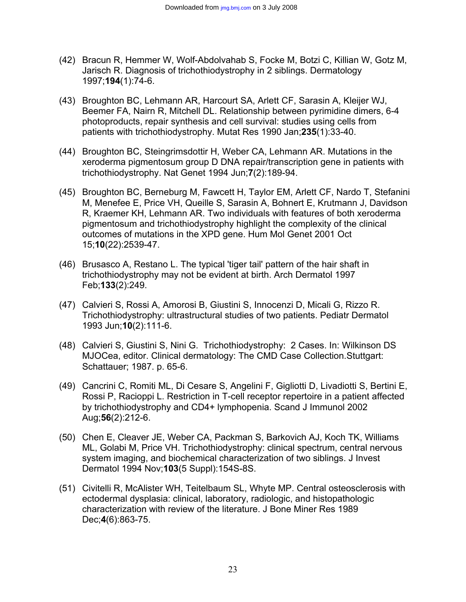- (42) Bracun R, Hemmer W, Wolf-Abdolvahab S, Focke M, Botzi C, Killian W, Gotz M, Jarisch R. Diagnosis of trichothiodystrophy in 2 siblings. Dermatology 1997;**194**(1):74-6.
- (43) Broughton BC, Lehmann AR, Harcourt SA, Arlett CF, Sarasin A, Kleijer WJ, Beemer FA, Nairn R, Mitchell DL. Relationship between pyrimidine dimers, 6-4 photoproducts, repair synthesis and cell survival: studies using cells from patients with trichothiodystrophy. Mutat Res 1990 Jan;**235**(1):33-40.
- (44) Broughton BC, Steingrimsdottir H, Weber CA, Lehmann AR. Mutations in the xeroderma pigmentosum group D DNA repair/transcription gene in patients with trichothiodystrophy. Nat Genet 1994 Jun;**7**(2):189-94.
- (45) Broughton BC, Berneburg M, Fawcett H, Taylor EM, Arlett CF, Nardo T, Stefanini M, Menefee E, Price VH, Queille S, Sarasin A, Bohnert E, Krutmann J, Davidson R, Kraemer KH, Lehmann AR. Two individuals with features of both xeroderma pigmentosum and trichothiodystrophy highlight the complexity of the clinical outcomes of mutations in the XPD gene. Hum Mol Genet 2001 Oct 15;**10**(22):2539-47.
- (46) Brusasco A, Restano L. The typical 'tiger tail' pattern of the hair shaft in trichothiodystrophy may not be evident at birth. Arch Dermatol 1997 Feb;**133**(2):249.
- (47) Calvieri S, Rossi A, Amorosi B, Giustini S, Innocenzi D, Micali G, Rizzo R. Trichothiodystrophy: ultrastructural studies of two patients. Pediatr Dermatol 1993 Jun;**10**(2):111-6.
- (48) Calvieri S, Giustini S, Nini G. Trichothiodystrophy: 2 Cases. In: Wilkinson DS MJOCea, editor. Clinical dermatology: The CMD Case Collection.Stuttgart: Schattauer; 1987. p. 65-6.
- (49) Cancrini C, Romiti ML, Di Cesare S, Angelini F, Gigliotti D, Livadiotti S, Bertini E, Rossi P, Racioppi L. Restriction in T-cell receptor repertoire in a patient affected by trichothiodystrophy and CD4+ lymphopenia. Scand J Immunol 2002 Aug;**56**(2):212-6.
- (50) Chen E, Cleaver JE, Weber CA, Packman S, Barkovich AJ, Koch TK, Williams ML, Golabi M, Price VH. Trichothiodystrophy: clinical spectrum, central nervous system imaging, and biochemical characterization of two siblings. J Invest Dermatol 1994 Nov;**103**(5 Suppl):154S-8S.
- (51) Civitelli R, McAlister WH, Teitelbaum SL, Whyte MP. Central osteosclerosis with ectodermal dysplasia: clinical, laboratory, radiologic, and histopathologic characterization with review of the literature. J Bone Miner Res 1989 Dec;**4**(6):863-75.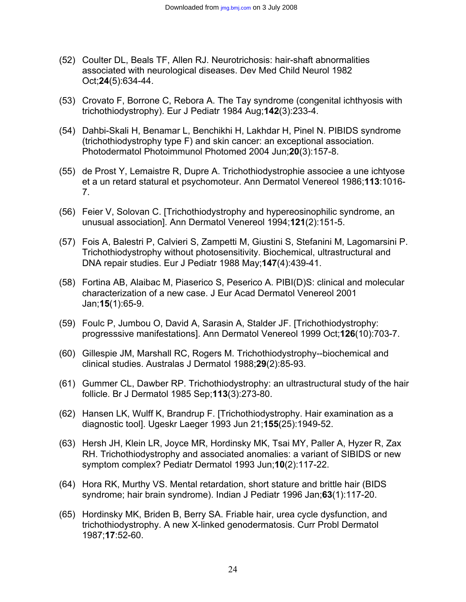- (52) Coulter DL, Beals TF, Allen RJ. Neurotrichosis: hair-shaft abnormalities associated with neurological diseases. Dev Med Child Neurol 1982 Oct;**24**(5):634-44.
- (53) Crovato F, Borrone C, Rebora A. The Tay syndrome (congenital ichthyosis with trichothiodystrophy). Eur J Pediatr 1984 Aug;**142**(3):233-4.
- (54) Dahbi-Skali H, Benamar L, Benchikhi H, Lakhdar H, Pinel N. PIBIDS syndrome (trichothiodystrophy type F) and skin cancer: an exceptional association. Photodermatol Photoimmunol Photomed 2004 Jun;**20**(3):157-8.
- (55) de Prost Y, Lemaistre R, Dupre A. Trichothiodystrophie associee a une ichtyose et a un retard statural et psychomoteur. Ann Dermatol Venereol 1986;**113**:1016- 7.
- (56) Feier V, Solovan C. [Trichothiodystrophy and hypereosinophilic syndrome, an unusual association]. Ann Dermatol Venereol 1994;**121**(2):151-5.
- (57) Fois A, Balestri P, Calvieri S, Zampetti M, Giustini S, Stefanini M, Lagomarsini P. Trichothiodystrophy without photosensitivity. Biochemical, ultrastructural and DNA repair studies. Eur J Pediatr 1988 May;**147**(4):439-41.
- (58) Fortina AB, Alaibac M, Piaserico S, Peserico A. PIBI(D)S: clinical and molecular characterization of a new case. J Eur Acad Dermatol Venereol 2001 Jan;**15**(1):65-9.
- (59) Foulc P, Jumbou O, David A, Sarasin A, Stalder JF. [Trichothiodystrophy: progresssive manifestations]. Ann Dermatol Venereol 1999 Oct;**126**(10):703-7.
- (60) Gillespie JM, Marshall RC, Rogers M. Trichothiodystrophy--biochemical and clinical studies. Australas J Dermatol 1988;**29**(2):85-93.
- (61) Gummer CL, Dawber RP. Trichothiodystrophy: an ultrastructural study of the hair follicle. Br J Dermatol 1985 Sep;**113**(3):273-80.
- (62) Hansen LK, Wulff K, Brandrup F. [Trichothiodystrophy. Hair examination as a diagnostic tool]. Ugeskr Laeger 1993 Jun 21;**155**(25):1949-52.
- (63) Hersh JH, Klein LR, Joyce MR, Hordinsky MK, Tsai MY, Paller A, Hyzer R, Zax RH. Trichothiodystrophy and associated anomalies: a variant of SIBIDS or new symptom complex? Pediatr Dermatol 1993 Jun;**10**(2):117-22.
- (64) Hora RK, Murthy VS. Mental retardation, short stature and brittle hair (BIDS syndrome; hair brain syndrome). Indian J Pediatr 1996 Jan;**63**(1):117-20.
- (65) Hordinsky MK, Briden B, Berry SA. Friable hair, urea cycle dysfunction, and trichothiodystrophy. A new X-linked genodermatosis. Curr Probl Dermatol 1987;**17**:52-60.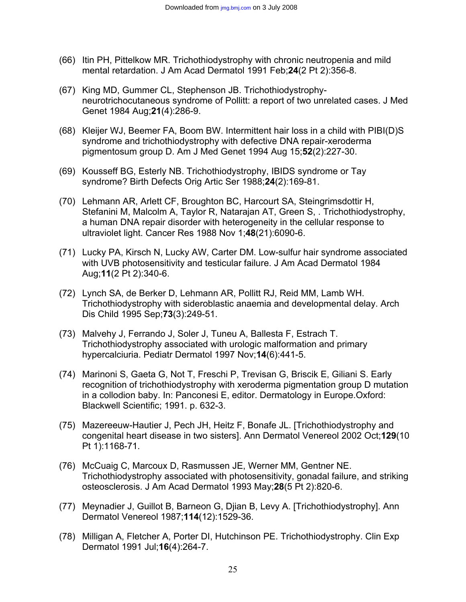- (66) Itin PH, Pittelkow MR. Trichothiodystrophy with chronic neutropenia and mild mental retardation. J Am Acad Dermatol 1991 Feb;**24**(2 Pt 2):356-8.
- (67) King MD, Gummer CL, Stephenson JB. Trichothiodystrophyneurotrichocutaneous syndrome of Pollitt: a report of two unrelated cases. J Med Genet 1984 Aug;**21**(4):286-9.
- (68) Kleijer WJ, Beemer FA, Boom BW. Intermittent hair loss in a child with PIBI(D)S syndrome and trichothiodystrophy with defective DNA repair-xeroderma pigmentosum group D. Am J Med Genet 1994 Aug 15;**52**(2):227-30.
- (69) Kousseff BG, Esterly NB. Trichothiodystrophy, IBIDS syndrome or Tay syndrome? Birth Defects Orig Artic Ser 1988;**24**(2):169-81.
- (70) Lehmann AR, Arlett CF, Broughton BC, Harcourt SA, Steingrimsdottir H, Stefanini M, Malcolm A, Taylor R, Natarajan AT, Green S, . Trichothiodystrophy, a human DNA repair disorder with heterogeneity in the cellular response to ultraviolet light. Cancer Res 1988 Nov 1;**48**(21):6090-6.
- (71) Lucky PA, Kirsch N, Lucky AW, Carter DM. Low-sulfur hair syndrome associated with UVB photosensitivity and testicular failure. J Am Acad Dermatol 1984 Aug;**11**(2 Pt 2):340-6.
- (72) Lynch SA, de Berker D, Lehmann AR, Pollitt RJ, Reid MM, Lamb WH. Trichothiodystrophy with sideroblastic anaemia and developmental delay. Arch Dis Child 1995 Sep;**73**(3):249-51.
- (73) Malvehy J, Ferrando J, Soler J, Tuneu A, Ballesta F, Estrach T. Trichothiodystrophy associated with urologic malformation and primary hypercalciuria. Pediatr Dermatol 1997 Nov;**14**(6):441-5.
- (74) Marinoni S, Gaeta G, Not T, Freschi P, Trevisan G, Briscik E, Giliani S. Early recognition of trichothiodystrophy with xeroderma pigmentation group D mutation in a collodion baby. In: Panconesi E, editor. Dermatology in Europe.Oxford: Blackwell Scientific; 1991. p. 632-3.
- (75) Mazereeuw-Hautier J, Pech JH, Heitz F, Bonafe JL. [Trichothiodystrophy and congenital heart disease in two sisters]. Ann Dermatol Venereol 2002 Oct;**129**(10 Pt 1):1168-71.
- (76) McCuaig C, Marcoux D, Rasmussen JE, Werner MM, Gentner NE. Trichothiodystrophy associated with photosensitivity, gonadal failure, and striking osteosclerosis. J Am Acad Dermatol 1993 May;**28**(5 Pt 2):820-6.
- (77) Meynadier J, Guillot B, Barneon G, Djian B, Levy A. [Trichothiodystrophy]. Ann Dermatol Venereol 1987;**114**(12):1529-36.
- (78) Milligan A, Fletcher A, Porter DI, Hutchinson PE. Trichothiodystrophy. Clin Exp Dermatol 1991 Jul;**16**(4):264-7.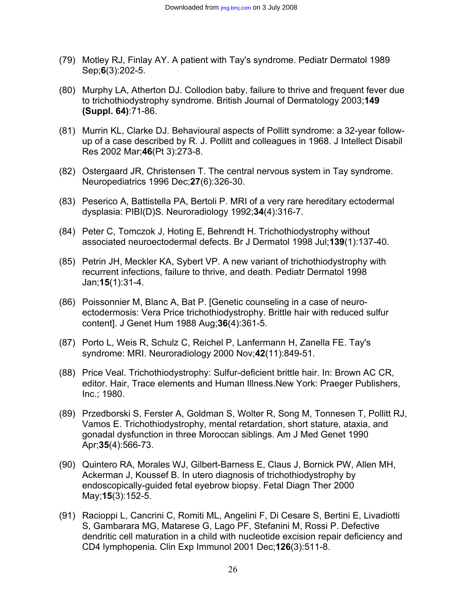- (79) Motley RJ, Finlay AY. A patient with Tay's syndrome. Pediatr Dermatol 1989 Sep;**6**(3):202-5.
- (80) Murphy LA, Atherton DJ. Collodion baby, failure to thrive and frequent fever due to trichothiodystrophy syndrome. British Journal of Dermatology 2003;**149 (Suppl. 64)**:71-86.
- (81) Murrin KL, Clarke DJ. Behavioural aspects of Pollitt syndrome: a 32-year followup of a case described by R. J. Pollitt and colleagues in 1968. J Intellect Disabil Res 2002 Mar;**46**(Pt 3):273-8.
- (82) Ostergaard JR, Christensen T. The central nervous system in Tay syndrome. Neuropediatrics 1996 Dec;**27**(6):326-30.
- (83) Peserico A, Battistella PA, Bertoli P. MRI of a very rare hereditary ectodermal dysplasia: PIBI(D)S. Neuroradiology 1992;**34**(4):316-7.
- (84) Peter C, Tomczok J, Hoting E, Behrendt H. Trichothiodystrophy without associated neuroectodermal defects. Br J Dermatol 1998 Jul;**139**(1):137-40.
- (85) Petrin JH, Meckler KA, Sybert VP. A new variant of trichothiodystrophy with recurrent infections, failure to thrive, and death. Pediatr Dermatol 1998 Jan;**15**(1):31-4.
- (86) Poissonnier M, Blanc A, Bat P. [Genetic counseling in a case of neuroectodermosis: Vera Price trichothiodystrophy. Brittle hair with reduced sulfur content]. J Genet Hum 1988 Aug;**36**(4):361-5.
- (87) Porto L, Weis R, Schulz C, Reichel P, Lanfermann H, Zanella FE. Tay's syndrome: MRI. Neuroradiology 2000 Nov;**42**(11):849-51.
- (88) Price Veal. Trichothiodystrophy: Sulfur-deficient brittle hair. In: Brown AC CR, editor. Hair, Trace elements and Human Illness.New York: Praeger Publishers, Inc.; 1980.
- (89) Przedborski S, Ferster A, Goldman S, Wolter R, Song M, Tonnesen T, Pollitt RJ, Vamos E. Trichothiodystrophy, mental retardation, short stature, ataxia, and gonadal dysfunction in three Moroccan siblings. Am J Med Genet 1990 Apr;**35**(4):566-73.
- (90) Quintero RA, Morales WJ, Gilbert-Barness E, Claus J, Bornick PW, Allen MH, Ackerman J, Koussef B. In utero diagnosis of trichothiodystrophy by endoscopically-guided fetal eyebrow biopsy. Fetal Diagn Ther 2000 May;**15**(3):152-5.
- (91) Racioppi L, Cancrini C, Romiti ML, Angelini F, Di Cesare S, Bertini E, Livadiotti S, Gambarara MG, Matarese G, Lago PF, Stefanini M, Rossi P. Defective dendritic cell maturation in a child with nucleotide excision repair deficiency and CD4 lymphopenia. Clin Exp Immunol 2001 Dec;**126**(3):511-8.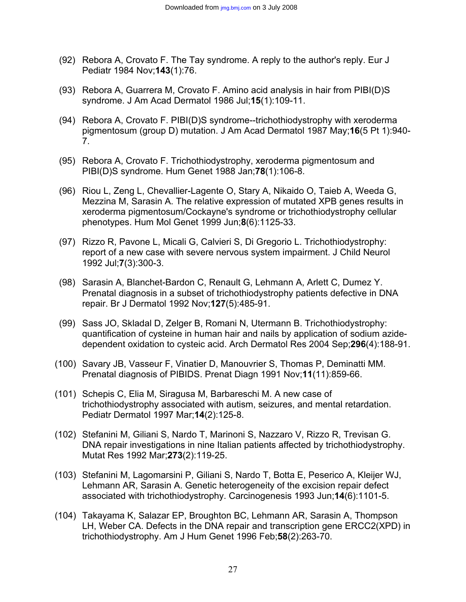- (92) Rebora A, Crovato F. The Tay syndrome. A reply to the author's reply. Eur J Pediatr 1984 Nov;**143**(1):76.
- (93) Rebora A, Guarrera M, Crovato F. Amino acid analysis in hair from PIBI(D)S syndrome. J Am Acad Dermatol 1986 Jul;**15**(1):109-11.
- (94) Rebora A, Crovato F. PIBI(D)S syndrome--trichothiodystrophy with xeroderma pigmentosum (group D) mutation. J Am Acad Dermatol 1987 May;**16**(5 Pt 1):940- 7.
- (95) Rebora A, Crovato F. Trichothiodystrophy, xeroderma pigmentosum and PIBI(D)S syndrome. Hum Genet 1988 Jan;**78**(1):106-8.
- (96) Riou L, Zeng L, Chevallier-Lagente O, Stary A, Nikaido O, Taieb A, Weeda G, Mezzina M, Sarasin A. The relative expression of mutated XPB genes results in xeroderma pigmentosum/Cockayne's syndrome or trichothiodystrophy cellular phenotypes. Hum Mol Genet 1999 Jun;**8**(6):1125-33.
- (97) Rizzo R, Pavone L, Micali G, Calvieri S, Di Gregorio L. Trichothiodystrophy: report of a new case with severe nervous system impairment. J Child Neurol 1992 Jul;**7**(3):300-3.
- (98) Sarasin A, Blanchet-Bardon C, Renault G, Lehmann A, Arlett C, Dumez Y. Prenatal diagnosis in a subset of trichothiodystrophy patients defective in DNA repair. Br J Dermatol 1992 Nov;**127**(5):485-91.
- (99) Sass JO, Skladal D, Zelger B, Romani N, Utermann B. Trichothiodystrophy: quantification of cysteine in human hair and nails by application of sodium azidedependent oxidation to cysteic acid. Arch Dermatol Res 2004 Sep;**296**(4):188-91.
- (100) Savary JB, Vasseur F, Vinatier D, Manouvrier S, Thomas P, Deminatti MM. Prenatal diagnosis of PIBIDS. Prenat Diagn 1991 Nov;**11**(11):859-66.
- (101) Schepis C, Elia M, Siragusa M, Barbareschi M. A new case of trichothiodystrophy associated with autism, seizures, and mental retardation. Pediatr Dermatol 1997 Mar;**14**(2):125-8.
- (102) Stefanini M, Giliani S, Nardo T, Marinoni S, Nazzaro V, Rizzo R, Trevisan G. DNA repair investigations in nine Italian patients affected by trichothiodystrophy. Mutat Res 1992 Mar;**273**(2):119-25.
- (103) Stefanini M, Lagomarsini P, Giliani S, Nardo T, Botta E, Peserico A, Kleijer WJ, Lehmann AR, Sarasin A. Genetic heterogeneity of the excision repair defect associated with trichothiodystrophy. Carcinogenesis 1993 Jun;**14**(6):1101-5.
- (104) Takayama K, Salazar EP, Broughton BC, Lehmann AR, Sarasin A, Thompson LH, Weber CA. Defects in the DNA repair and transcription gene ERCC2(XPD) in trichothiodystrophy. Am J Hum Genet 1996 Feb;**58**(2):263-70.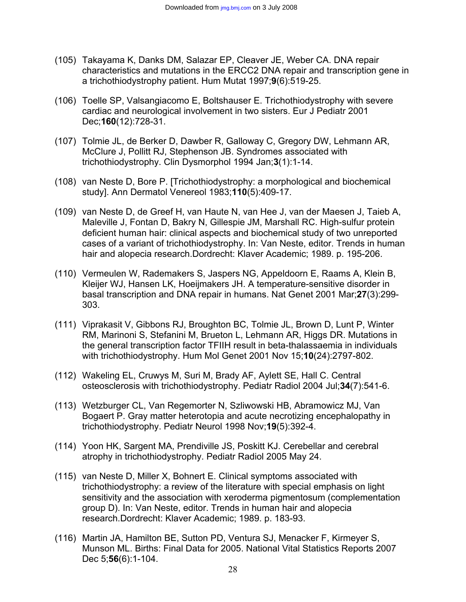- (105) Takayama K, Danks DM, Salazar EP, Cleaver JE, Weber CA. DNA repair characteristics and mutations in the ERCC2 DNA repair and transcription gene in a trichothiodystrophy patient. Hum Mutat 1997;**9**(6):519-25.
- (106) Toelle SP, Valsangiacomo E, Boltshauser E. Trichothiodystrophy with severe cardiac and neurological involvement in two sisters. Eur J Pediatr 2001 Dec;**160**(12):728-31.
- (107) Tolmie JL, de Berker D, Dawber R, Galloway C, Gregory DW, Lehmann AR, McClure J, Pollitt RJ, Stephenson JB. Syndromes associated with trichothiodystrophy. Clin Dysmorphol 1994 Jan;**3**(1):1-14.
- (108) van Neste D, Bore P. [Trichothiodystrophy: a morphological and biochemical study]. Ann Dermatol Venereol 1983;**110**(5):409-17.
- (109) van Neste D, de Greef H, van Haute N, van Hee J, van der Maesen J, Taieb A, Maleville J, Fontan D, Bakry N, Gillespie JM, Marshall RC. High-sulfur protein deficient human hair: clinical aspects and biochemical study of two unreported cases of a variant of trichothiodystrophy. In: Van Neste, editor. Trends in human hair and alopecia research.Dordrecht: Klaver Academic; 1989. p. 195-206.
- (110) Vermeulen W, Rademakers S, Jaspers NG, Appeldoorn E, Raams A, Klein B, Kleijer WJ, Hansen LK, Hoeijmakers JH. A temperature-sensitive disorder in basal transcription and DNA repair in humans. Nat Genet 2001 Mar;**27**(3):299- 303.
- (111) Viprakasit V, Gibbons RJ, Broughton BC, Tolmie JL, Brown D, Lunt P, Winter RM, Marinoni S, Stefanini M, Brueton L, Lehmann AR, Higgs DR. Mutations in the general transcription factor TFIIH result in beta-thalassaemia in individuals with trichothiodystrophy. Hum Mol Genet 2001 Nov 15;**10**(24):2797-802.
- (112) Wakeling EL, Cruwys M, Suri M, Brady AF, Aylett SE, Hall C. Central osteosclerosis with trichothiodystrophy. Pediatr Radiol 2004 Jul;**34**(7):541-6.
- (113) Wetzburger CL, Van Regemorter N, Szliwowski HB, Abramowicz MJ, Van Bogaert P. Gray matter heterotopia and acute necrotizing encephalopathy in trichothiodystrophy. Pediatr Neurol 1998 Nov;**19**(5):392-4.
- (114) Yoon HK, Sargent MA, Prendiville JS, Poskitt KJ. Cerebellar and cerebral atrophy in trichothiodystrophy. Pediatr Radiol 2005 May 24.
- (115) van Neste D, Miller X, Bohnert E. Clinical symptoms associated with trichothiodystrophy: a review of the literature with special emphasis on light sensitivity and the association with xeroderma pigmentosum (complementation group D). In: Van Neste, editor. Trends in human hair and alopecia research.Dordrecht: Klaver Academic; 1989. p. 183-93.
- (116) Martin JA, Hamilton BE, Sutton PD, Ventura SJ, Menacker F, Kirmeyer S, Munson ML. Births: Final Data for 2005. National Vital Statistics Reports 2007 Dec 5;**56**(6):1-104.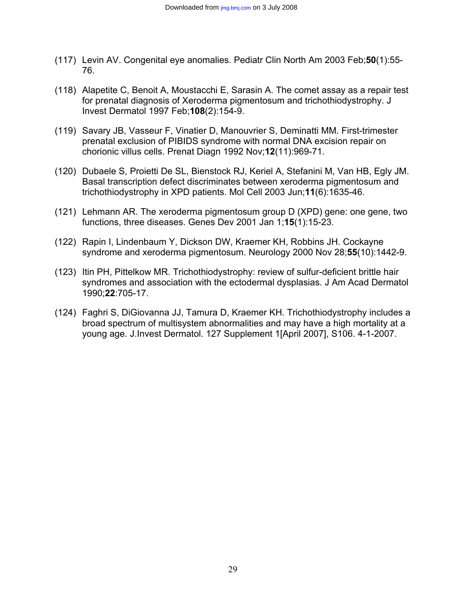- (117) Levin AV. Congenital eye anomalies. Pediatr Clin North Am 2003 Feb;**50**(1):55- 76.
- (118) Alapetite C, Benoit A, Moustacchi E, Sarasin A. The comet assay as a repair test for prenatal diagnosis of Xeroderma pigmentosum and trichothiodystrophy. J Invest Dermatol 1997 Feb;**108**(2):154-9.
- (119) Savary JB, Vasseur F, Vinatier D, Manouvrier S, Deminatti MM. First-trimester prenatal exclusion of PIBIDS syndrome with normal DNA excision repair on chorionic villus cells. Prenat Diagn 1992 Nov;**12**(11):969-71.
- (120) Dubaele S, Proietti De SL, Bienstock RJ, Keriel A, Stefanini M, Van HB, Egly JM. Basal transcription defect discriminates between xeroderma pigmentosum and trichothiodystrophy in XPD patients. Mol Cell 2003 Jun;**11**(6):1635-46.
- (121) Lehmann AR. The xeroderma pigmentosum group D (XPD) gene: one gene, two functions, three diseases. Genes Dev 2001 Jan 1;**15**(1):15-23.
- (122) Rapin I, Lindenbaum Y, Dickson DW, Kraemer KH, Robbins JH. Cockayne syndrome and xeroderma pigmentosum. Neurology 2000 Nov 28;**55**(10):1442-9.
- (123) Itin PH, Pittelkow MR. Trichothiodystrophy: review of sulfur-deficient brittle hair syndromes and association with the ectodermal dysplasias. J Am Acad Dermatol 1990;**22**:705-17.
- (124) Faghri S, DiGiovanna JJ, Tamura D, Kraemer KH. Trichothiodystrophy includes a broad spectrum of multisystem abnormalities and may have a high mortality at a young age. J.Invest Dermatol. 127 Supplement 1[April 2007], S106. 4-1-2007.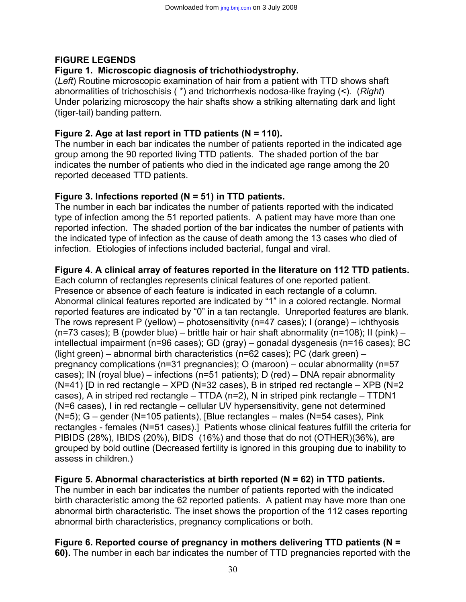## **FIGURE LEGENDS**

## **Figure 1.****Microscopic diagnosis of trichothiodystrophy.**

(*Left*) Routine microscopic examination of hair from a patient with TTD shows shaft abnormalities of trichoschisis ( \*) and trichorrhexis nodosa-like fraying (<). (*Right*) Under polarizing microscopy the hair shafts show a striking alternating dark and light (tiger-tail) banding pattern.

## **Figure 2. Age at last report in TTD patients (N = 110).**

The number in each bar indicates the number of patients reported in the indicated age group among the 90 reported living TTD patients. The shaded portion of the bar indicates the number of patients who died in the indicated age range among the 20 reported deceased TTD patients.

#### **Figure 3. Infections reported (N = 51) in TTD patients.**

The number in each bar indicates the number of patients reported with the indicated type of infection among the 51 reported patients. A patient may have more than one reported infection. The shaded portion of the bar indicates the number of patients with the indicated type of infection as the cause of death among the 13 cases who died of infection. Etiologies of infections included bacterial, fungal and viral.

#### **Figure 4***.* **A clinical array of features reported in the literature on 112 TTD patients.**

Each column of rectangles represents clinical features of one reported patient. Presence or absence of each feature is indicated in each rectangle of a column. Abnormal clinical features reported are indicated by "1" in a colored rectangle. Normal reported features are indicated by "0" in a tan rectangle. Unreported features are blank. The rows represent P (yellow) – photosensitivity (n=47 cases); I (orange) – ichthyosis (n=73 cases); B (powder blue) – brittle hair or hair shaft abnormality (n=108); II (pink) – intellectual impairment (n=96 cases); GD (gray) – gonadal dysgenesis (n=16 cases); BC (light green) – abnormal birth characteristics (n=62 cases); PC (dark green) – pregnancy complications (n=31 pregnancies); O (maroon) – ocular abnormality (n=57 cases); IN (royal blue) – infections (n=51 patients); D (red) – DNA repair abnormality ( $N=41$ ) [D in red rectangle –  $XPD$  ( $N=32$  cases), B in striped red rectangle –  $XPB$  ( $N=2$ cases), A in striped red rectangle – TTDA (n=2), N in striped pink rectangle – TTDN1 (N=6 cases), I in red rectangle – cellular UV hypersensitivity, gene not determined (N=5); G – gender (N=105 patients), [Blue rectangles – males (N=54 cases), Pink rectangles - females (N=51 cases).] Patients whose clinical features fulfill the criteria for PIBIDS (28%), IBIDS (20%), BIDS (16%) and those that do not (OTHER)(36%), are grouped by bold outline (Decreased fertility is ignored in this grouping due to inability to assess in children.)

## **Figure 5. Abnormal characteristics at birth reported (N = 62) in TTD patients.**

The number in each bar indicates the number of patients reported with the indicated birth characteristic among the 62 reported patients. A patient may have more than one abnormal birth characteristic. The inset shows the proportion of the 112 cases reporting abnormal birth characteristics, pregnancy complications or both.

# **Figure 6. Reported course of pregnancy in mothers delivering TTD patients (N =**

**60).** The number in each bar indicates the number of TTD pregnancies reported with the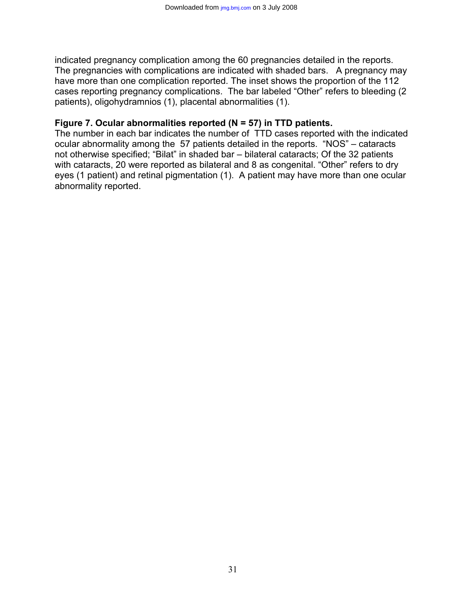indicated pregnancy complication among the 60 pregnancies detailed in the reports. The pregnancies with complications are indicated with shaded bars. A pregnancy may have more than one complication reported. The inset shows the proportion of the 112 cases reporting pregnancy complications. The bar labeled "Other" refers to bleeding (2 patients), oligohydramnios (1), placental abnormalities (1).

#### **Figure 7. Ocular abnormalities reported (N = 57) in TTD patients.**

The number in each bar indicates the number of TTD cases reported with the indicated ocular abnormality among the 57 patients detailed in the reports. "NOS" – cataracts not otherwise specified; "Bilat" in shaded bar – bilateral cataracts; Of the 32 patients with cataracts, 20 were reported as bilateral and 8 as congenital. "Other" refers to dry eyes (1 patient) and retinal pigmentation (1). A patient may have more than one ocular abnormality reported.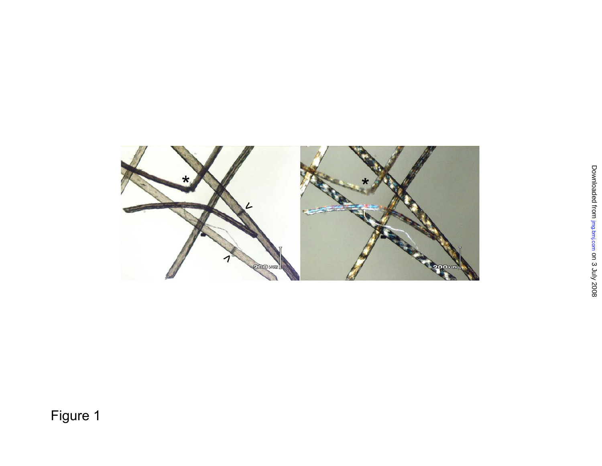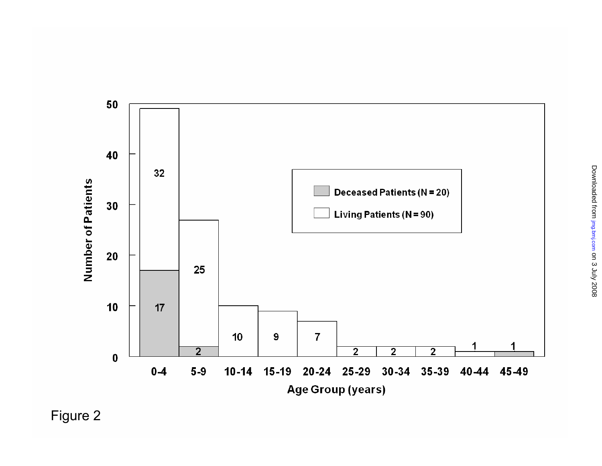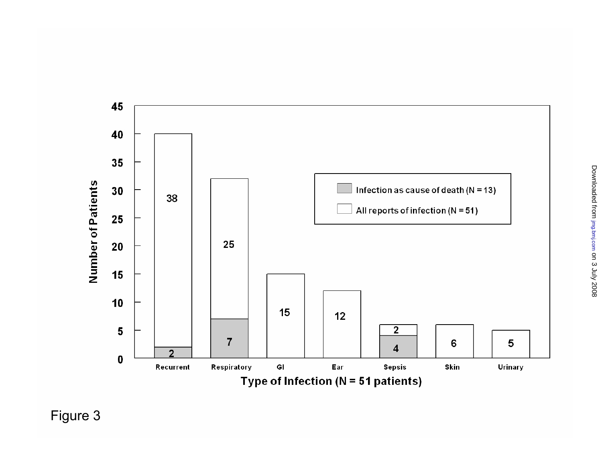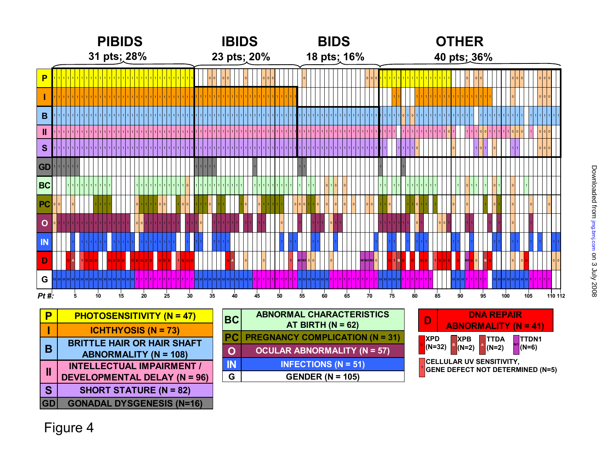|                | <b>PIBIDS</b> |  |   |  |  |  |  |    |  |  |             |    |  | <b>IBIDS</b>    |  |                                  |  |    |  |  |  |    |  |  | <b>BIDS</b><br>18 pts; 16% |    |  |  |  |    |  |    |  |  |                                  |             | <b>OTHER</b> |  |    |  |  |    |  |  |  |    |  |  |                                 |    |          |  |    |  |   |  |    |  |  |    |     |  |          |  |     |                   |                          |  |         |  |
|----------------|---------------|--|---|--|--|--|--|----|--|--|-------------|----|--|-----------------|--|----------------------------------|--|----|--|--|--|----|--|--|----------------------------|----|--|--|--|----|--|----|--|--|----------------------------------|-------------|--------------|--|----|--|--|----|--|--|--|----|--|--|---------------------------------|----|----------|--|----|--|---|--|----|--|--|----|-----|--|----------|--|-----|-------------------|--------------------------|--|---------|--|
| 31 pts; 28%    |               |  |   |  |  |  |  |    |  |  | 23 pts; 20% |    |  |                 |  |                                  |  |    |  |  |  |    |  |  |                            |    |  |  |  |    |  |    |  |  |                                  | 40 pts; 36% |              |  |    |  |  |    |  |  |  |    |  |  |                                 |    |          |  |    |  |   |  |    |  |  |    |     |  |          |  |     |                   |                          |  |         |  |
| P              |               |  |   |  |  |  |  |    |  |  |             |    |  |                 |  |                                  |  |    |  |  |  |    |  |  |                            |    |  |  |  |    |  |    |  |  |                                  |             |              |  |    |  |  |    |  |  |  |    |  |  |                                 |    |          |  |    |  |   |  |    |  |  |    |     |  |          |  |     |                   |                          |  |         |  |
|                |               |  |   |  |  |  |  |    |  |  |             |    |  |                 |  |                                  |  |    |  |  |  |    |  |  |                            |    |  |  |  |    |  |    |  |  |                                  |             |              |  |    |  |  |    |  |  |  |    |  |  |                                 |    |          |  |    |  |   |  |    |  |  |    |     |  |          |  |     |                   |                          |  |         |  |
| $\mathbf B$    |               |  |   |  |  |  |  |    |  |  |             |    |  |                 |  |                                  |  |    |  |  |  |    |  |  |                            |    |  |  |  |    |  |    |  |  |                                  |             |              |  |    |  |  |    |  |  |  |    |  |  |                                 |    |          |  |    |  |   |  |    |  |  |    |     |  |          |  |     |                   |                          |  |         |  |
| Ш              |               |  |   |  |  |  |  |    |  |  |             |    |  |                 |  |                                  |  |    |  |  |  |    |  |  |                            |    |  |  |  |    |  |    |  |  |                                  |             |              |  |    |  |  |    |  |  |  |    |  |  |                                 |    |          |  |    |  |   |  |    |  |  |    |     |  |          |  |     |                   |                          |  |         |  |
| <b>S</b>       |               |  |   |  |  |  |  |    |  |  |             |    |  |                 |  |                                  |  |    |  |  |  |    |  |  |                            |    |  |  |  |    |  |    |  |  |                                  |             |              |  |    |  |  |    |  |  |  |    |  |  |                                 |    |          |  |    |  |   |  |    |  |  |    |     |  |          |  |     |                   |                          |  |         |  |
| <b>GD</b>      |               |  |   |  |  |  |  |    |  |  |             |    |  |                 |  |                                  |  |    |  |  |  |    |  |  |                            |    |  |  |  |    |  |    |  |  |                                  |             |              |  |    |  |  |    |  |  |  |    |  |  |                                 |    |          |  |    |  |   |  |    |  |  |    |     |  |          |  |     |                   |                          |  |         |  |
| <b>BC</b>      |               |  |   |  |  |  |  |    |  |  |             |    |  |                 |  |                                  |  |    |  |  |  |    |  |  |                            |    |  |  |  |    |  |    |  |  |                                  |             |              |  |    |  |  |    |  |  |  |    |  |  |                                 |    |          |  |    |  |   |  |    |  |  |    |     |  |          |  |     |                   |                          |  |         |  |
| PC             |               |  |   |  |  |  |  |    |  |  |             |    |  |                 |  |                                  |  |    |  |  |  |    |  |  |                            |    |  |  |  |    |  |    |  |  |                                  |             |              |  |    |  |  |    |  |  |  |    |  |  |                                 |    |          |  |    |  |   |  |    |  |  |    |     |  |          |  |     |                   |                          |  |         |  |
| $\mathbf O$    |               |  |   |  |  |  |  |    |  |  |             |    |  |                 |  |                                  |  |    |  |  |  |    |  |  |                            |    |  |  |  |    |  |    |  |  |                                  |             |              |  |    |  |  |    |  |  |  |    |  |  |                                 |    |          |  |    |  |   |  |    |  |  |    |     |  |          |  |     |                   |                          |  |         |  |
| $\blacksquare$ |               |  |   |  |  |  |  |    |  |  |             |    |  |                 |  |                                  |  |    |  |  |  |    |  |  |                            |    |  |  |  |    |  |    |  |  |                                  |             |              |  |    |  |  |    |  |  |  |    |  |  |                                 |    |          |  |    |  |   |  |    |  |  |    |     |  |          |  |     |                   |                          |  |         |  |
| D              |               |  |   |  |  |  |  |    |  |  |             |    |  |                 |  |                                  |  |    |  |  |  |    |  |  |                            |    |  |  |  |    |  |    |  |  |                                  |             |              |  |    |  |  |    |  |  |  |    |  |  |                                 |    | <b>B</b> |  |    |  |   |  |    |  |  |    |     |  | <b>R</b> |  |     |                   |                          |  |         |  |
| G              |               |  |   |  |  |  |  |    |  |  |             |    |  |                 |  |                                  |  |    |  |  |  |    |  |  |                            |    |  |  |  |    |  |    |  |  |                                  |             |              |  |    |  |  |    |  |  |  |    |  |  |                                 |    |          |  |    |  |   |  |    |  |  |    | 1M. |  |          |  |     |                   |                          |  |         |  |
| $Pt#$ :        |               |  | 5 |  |  |  |  | 10 |  |  |             | 15 |  | $\overline{20}$ |  | 25                               |  | 30 |  |  |  | 35 |  |  |                            | 40 |  |  |  | 45 |  | 50 |  |  | 55                               |             |              |  | 60 |  |  | 65 |  |  |  | 70 |  |  |                                 | 75 |          |  | 80 |  |   |  | 85 |  |  | 90 |     |  | 95       |  | 100 |                   | 105                      |  | 110 112 |  |
| P              |               |  |   |  |  |  |  |    |  |  |             |    |  |                 |  | <b>PHOTOSENSITIVITY (N = 47)</b> |  |    |  |  |  |    |  |  |                            | BC |  |  |  |    |  |    |  |  | $AT$ DIDTLI $(M - \mathcal{L}Q)$ |             |              |  |    |  |  |    |  |  |  |    |  |  | <b>ABNORMAL CHARACTERISTICS</b> |    |          |  |    |  | D |  |    |  |  |    |     |  |          |  |     | <b>DNA REPAIR</b> | A PALAPALA LIPV AL - 44Y |  |         |  |

|           | <u>I IIV I UJLINJITIVIT I (IN — 777</u> |
|-----------|-----------------------------------------|
|           | <b>ICHTHYOSIS (N = 73)</b>              |
| B         | <b>BRITTLE HAIR OR HAIR SHAFT</b>       |
| Ш         | <b>ABNORMALITY (N = 108)</b>            |
|           | <b>INTELLECTUAL IMPAIRMENT /</b>        |
|           | <b>DEVELOPMENTAL DELAY (N = 96)</b>     |
| S         | <b>SHORT STATURE (N = 82)</b>           |
| <b>GD</b> | <b>GONADAL DYSGENESIS (N=16)</b>        |

| <b>BC</b>   | <b>ABNORMAL CHARACTERISTICS</b><br>AT BIRTH ( $N = 62$ ) |
|-------------|----------------------------------------------------------|
| <b>PC</b>   | <b>PREGNANCY COMPLICATION (N = 31)</b>                   |
| $\mathbf 0$ | <b>OCULAR ABNORMALITY (N = 57)</b>                       |
| <b>IN</b>   | <b>INFECTIONS (N = 51)</b>                               |
| G           | GENDER ( $N = 105$ )                                     |

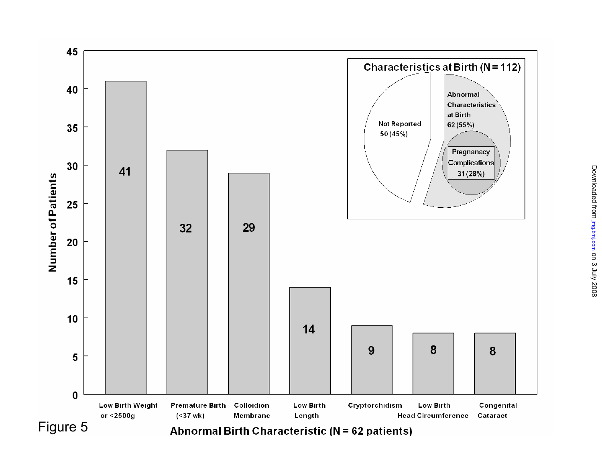

## **Abnormal Birth Characteristic (N = 62 patients)**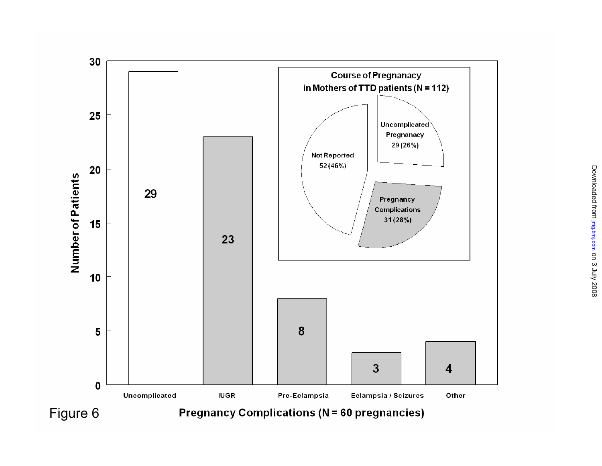

**Pregnancy Complications (N = 60 pregnancies)**